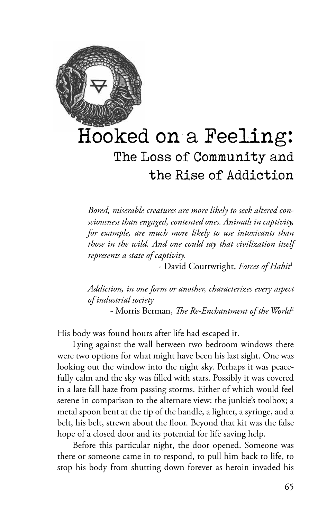

# Hooked on a Feeling: The Loss of Community and the Rise of Addiction

*Bored, miserable creatures are more likely to seek altered consciousness than engaged, contented ones. Animals in captivity, for example, are much more likely to use intoxicants than those in the wild. And one could say that civilization itself represents a state of captivity.*

- David Courtwright, *Forces of Habit*<sup>1</sup>

*Addiction, in one form or another, characterizes every aspect of industrial society*

- Morris Berman, *The Re-Enchantment of the World*<sup>2</sup>

His body was found hours after life had escaped it.

Lying against the wall between two bedroom windows there were two options for what might have been his last sight. One was looking out the window into the night sky. Perhaps it was peacefully calm and the sky was filled with stars. Possibly it was covered in a late fall haze from passing storms. Either of which would feel serene in comparison to the alternate view: the junkie's toolbox; a metal spoon bent at the tip of the handle, a lighter, a syringe, and a belt, his belt, strewn about the floor. Beyond that kit was the false hope of a closed door and its potential for life saving help.

Before this particular night, the door opened. Someone was there or someone came in to respond, to pull him back to life, to stop his body from shutting down forever as heroin invaded his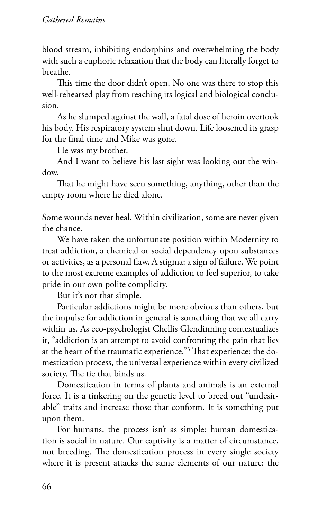blood stream, inhibiting endorphins and overwhelming the body with such a euphoric relaxation that the body can literally forget to breathe.

This time the door didn't open. No one was there to stop this well-rehearsed play from reaching its logical and biological conclusion.

As he slumped against the wall, a fatal dose of heroin overtook his body. His respiratory system shut down. Life loosened its grasp for the final time and Mike was gone.

He was my brother.

And I want to believe his last sight was looking out the window.

That he might have seen something, anything, other than the empty room where he died alone.

Some wounds never heal. Within civilization, some are never given the chance.

We have taken the unfortunate position within Modernity to treat addiction, a chemical or social dependency upon substances or activities, as a personal flaw. A stigma: a sign of failure. We point to the most extreme examples of addiction to feel superior, to take pride in our own polite complicity.

But it's not that simple.

Particular addictions might be more obvious than others, but the impulse for addiction in general is something that we all carry within us. As eco-psychologist Chellis Glendinning contextualizes it, "addiction is an attempt to avoid confronting the pain that lies at the heart of the traumatic experience."<sup>3</sup> That experience: the domestication process, the universal experience within every civilized society. The tie that binds us.

Domestication in terms of plants and animals is an external force. It is a tinkering on the genetic level to breed out "undesirable" traits and increase those that conform. It is something put upon them.

For humans, the process isn't as simple: human domestication is social in nature. Our captivity is a matter of circumstance, not breeding. The domestication process in every single society where it is present attacks the same elements of our nature: the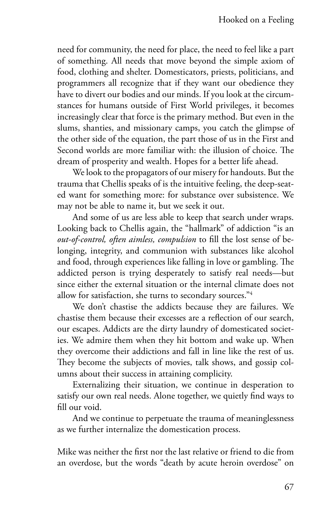need for community, the need for place, the need to feel like a part of something. All needs that move beyond the simple axiom of food, clothing and shelter. Domesticators, priests, politicians, and programmers all recognize that if they want our obedience they have to divert our bodies and our minds. If you look at the circumstances for humans outside of First World privileges, it becomes increasingly clear that force is the primary method. But even in the slums, shanties, and missionary camps, you catch the glimpse of the other side of the equation, the part those of us in the First and Second worlds are more familiar with: the illusion of choice. The dream of prosperity and wealth. Hopes for a better life ahead.

We look to the propagators of our misery for handouts. But the trauma that Chellis speaks of is the intuitive feeling, the deep-seated want for something more: for substance over subsistence. We may not be able to name it, but we seek it out.

And some of us are less able to keep that search under wraps. Looking back to Chellis again, the "hallmark" of addiction "is an *out-of-control, often aimless, compulsion* to fill the lost sense of belonging, integrity, and communion with substances like alcohol and food, through experiences like falling in love or gambling. The addicted person is trying desperately to satisfy real needs—but since either the external situation or the internal climate does not allow for satisfaction, she turns to secondary sources."4

We don't chastise the addicts because they are failures. We chastise them because their excesses are a reflection of our search, our escapes. Addicts are the dirty laundry of domesticated societies. We admire them when they hit bottom and wake up. When they overcome their addictions and fall in line like the rest of us. They become the subjects of movies, talk shows, and gossip columns about their success in attaining complicity.

Externalizing their situation, we continue in desperation to satisfy our own real needs. Alone together, we quietly find ways to fill our void.

And we continue to perpetuate the trauma of meaninglessness as we further internalize the domestication process.

Mike was neither the first nor the last relative or friend to die from an overdose, but the words "death by acute heroin overdose" on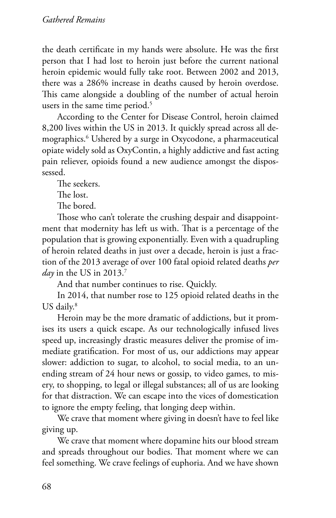the death certificate in my hands were absolute. He was the first person that I had lost to heroin just before the current national heroin epidemic would fully take root. Between 2002 and 2013, there was a 286% increase in deaths caused by heroin overdose. This came alongside a doubling of the number of actual heroin users in the same time period.<sup>5</sup>

According to the Center for Disease Control, heroin claimed 8,200 lives within the US in 2013. It quickly spread across all demographics.6 Ushered by a surge in Oxycodone, a pharmaceutical opiate widely sold as OxyContin, a highly addictive and fast acting pain reliever, opioids found a new audience amongst the dispossessed.

The seekers.

The lost.

The bored.

Those who can't tolerate the crushing despair and disappointment that modernity has left us with. That is a percentage of the population that is growing exponentially. Even with a quadrupling of heroin related deaths in just over a decade, heroin is just a fraction of the 2013 average of over 100 fatal opioid related deaths *per day* in the US in 2013.7

And that number continues to rise. Quickly.

In 2014, that number rose to 125 opioid related deaths in the US daily.<sup>8</sup>

Heroin may be the more dramatic of addictions, but it promises its users a quick escape. As our technologically infused lives speed up, increasingly drastic measures deliver the promise of immediate gratification. For most of us, our addictions may appear slower: addiction to sugar, to alcohol, to social media, to an unending stream of 24 hour news or gossip, to video games, to misery, to shopping, to legal or illegal substances; all of us are looking for that distraction. We can escape into the vices of domestication to ignore the empty feeling, that longing deep within.

We crave that moment where giving in doesn't have to feel like giving up.

We crave that moment where dopamine hits our blood stream and spreads throughout our bodies. That moment where we can feel something. We crave feelings of euphoria. And we have shown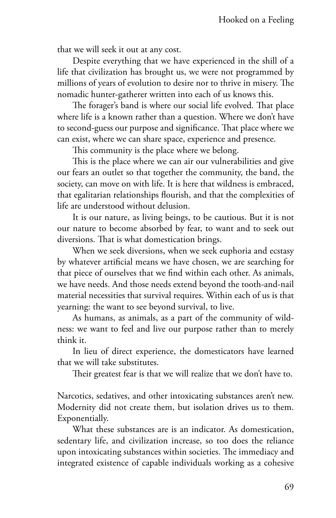that we will seek it out at any cost.

Despite everything that we have experienced in the shill of a life that civilization has brought us, we were not programmed by millions of years of evolution to desire nor to thrive in misery. The nomadic hunter-gatherer written into each of us knows this.

The forager's band is where our social life evolved. That place where life is a known rather than a question. Where we don't have to second-guess our purpose and significance. That place where we can exist, where we can share space, experience and presence.

This community is the place where we belong.

This is the place where we can air our vulnerabilities and give our fears an outlet so that together the community, the band, the society, can move on with life. It is here that wildness is embraced, that egalitarian relationships flourish, and that the complexities of life are understood without delusion.

It is our nature, as living beings, to be cautious. But it is not our nature to become absorbed by fear, to want and to seek out diversions. That is what domestication brings.

When we seek diversions, when we seek euphoria and ecstasy by whatever artificial means we have chosen, we are searching for that piece of ourselves that we find within each other. As animals, we have needs. And those needs extend beyond the tooth-and-nail material necessities that survival requires. Within each of us is that yearning: the want to see beyond survival, to live.

As humans, as animals, as a part of the community of wildness: we want to feel and live our purpose rather than to merely think it.

In lieu of direct experience, the domesticators have learned that we will take substitutes.

Their greatest fear is that we will realize that we don't have to.

Narcotics, sedatives, and other intoxicating substances aren't new. Modernity did not create them, but isolation drives us to them. Exponentially.

What these substances are is an indicator. As domestication, sedentary life, and civilization increase, so too does the reliance upon intoxicating substances within societies. The immediacy and integrated existence of capable individuals working as a cohesive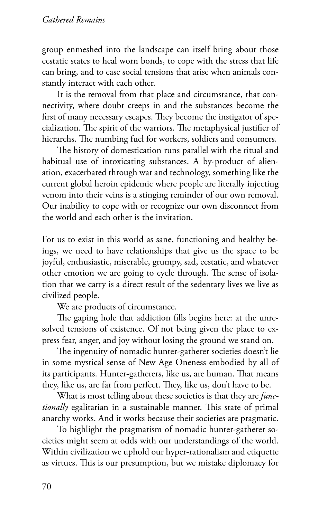group enmeshed into the landscape can itself bring about those ecstatic states to heal worn bonds, to cope with the stress that life can bring, and to ease social tensions that arise when animals constantly interact with each other.

It is the removal from that place and circumstance, that connectivity, where doubt creeps in and the substances become the first of many necessary escapes. They become the instigator of specialization. The spirit of the warriors. The metaphysical justifier of hierarchs. The numbing fuel for workers, soldiers and consumers.

The history of domestication runs parallel with the ritual and habitual use of intoxicating substances. A by-product of alienation, exacerbated through war and technology, something like the current global heroin epidemic where people are literally injecting venom into their veins is a stinging reminder of our own removal. Our inability to cope with or recognize our own disconnect from the world and each other is the invitation.

For us to exist in this world as sane, functioning and healthy beings, we need to have relationships that give us the space to be joyful, enthusiastic, miserable, grumpy, sad, ecstatic, and whatever other emotion we are going to cycle through. The sense of isolation that we carry is a direct result of the sedentary lives we live as civilized people.

We are products of circumstance.

The gaping hole that addiction fills begins here: at the unresolved tensions of existence. Of not being given the place to express fear, anger, and joy without losing the ground we stand on.

The ingenuity of nomadic hunter-gatherer societies doesn't lie in some mystical sense of New Age Oneness embodied by all of its participants. Hunter-gatherers, like us, are human. That means they, like us, are far from perfect. They, like us, don't have to be.

What is most telling about these societies is that they are *functionally* egalitarian in a sustainable manner. This state of primal anarchy works. And it works because their societies are pragmatic.

To highlight the pragmatism of nomadic hunter-gatherer societies might seem at odds with our understandings of the world. Within civilization we uphold our hyper-rationalism and etiquette as virtues. This is our presumption, but we mistake diplomacy for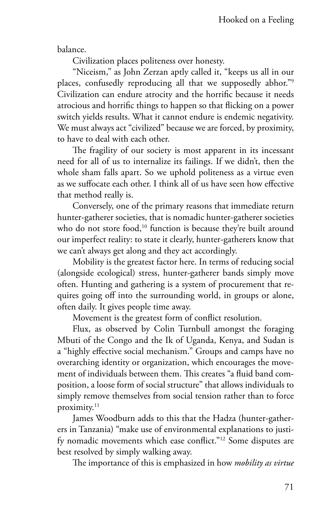balance.

Civilization places politeness over honesty.

"Niceism," as John Zerzan aptly called it, "keeps us all in our places, confusedly reproducing all that we supposedly abhor."9 Civilization can endure atrocity and the horrific because it needs atrocious and horrific things to happen so that flicking on a power switch yields results. What it cannot endure is endemic negativity. We must always act "civilized" because we are forced, by proximity, to have to deal with each other.

The fragility of our society is most apparent in its incessant need for all of us to internalize its failings. If we didn't, then the whole sham falls apart. So we uphold politeness as a virtue even as we suffocate each other. I think all of us have seen how effective that method really is.

Conversely, one of the primary reasons that immediate return hunter-gatherer societies, that is nomadic hunter-gatherer societies who do not store food,<sup>10</sup> function is because they're built around our imperfect reality: to state it clearly, hunter-gatherers know that we can't always get along and they act accordingly.

Mobility is the greatest factor here. In terms of reducing social (alongside ecological) stress, hunter-gatherer bands simply move often. Hunting and gathering is a system of procurement that requires going off into the surrounding world, in groups or alone, often daily. It gives people time away.

Movement is the greatest form of conflict resolution.

Flux, as observed by Colin Turnbull amongst the foraging Mbuti of the Congo and the Ik of Uganda, Kenya, and Sudan is a "highly effective social mechanism." Groups and camps have no overarching identity or organization, which encourages the movement of individuals between them. This creates "a fluid band composition, a loose form of social structure" that allows individuals to simply remove themselves from social tension rather than to force proximity.<sup>11</sup>

James Woodburn adds to this that the Hadza (hunter-gatherers in Tanzania) "make use of environmental explanations to justify nomadic movements which ease conflict."12 Some disputes are best resolved by simply walking away.

The importance of this is emphasized in how *mobility as virtue*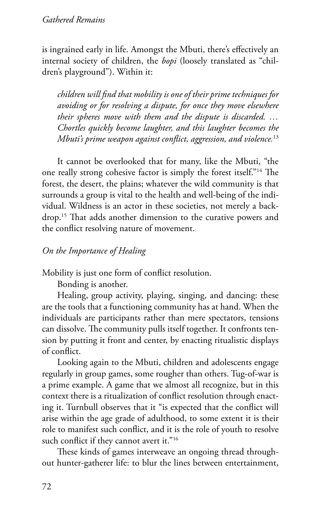is ingrained early in life. Amongst the Mbuti, there's effectively an internal society of children, the *bopi* (loosely translated as "children's playground"). Within it:

*children will find that mobility is one of their prime techniques for avoiding or for resolving a dispute, for once they move elsewhere their spheres move with them and the dispute is discarded. … Chortles quickly become laughter, and this laughter becomes the Mbuti's prime weapon against conflict, aggression, and violence.*<sup>13</sup>

It cannot be overlooked that for many, like the Mbuti, "the one really strong cohesive factor is simply the forest itself."14 The forest, the desert, the plains; whatever the wild community is that surrounds a group is vital to the health and well-being of the individual. Wildness is an actor in these societies, not merely a backdrop.15 That adds another dimension to the curative powers and the conflict resolving nature of movement.

## *On the Importance of Healing*

Mobility is just one form of conflict resolution.

Bonding is another.

Healing, group activity, playing, singing, and dancing: these are the tools that a functioning community has at hand. When the individuals are participants rather than mere spectators, tensions can dissolve. The community pulls itself together. It confronts tension by putting it front and center, by enacting ritualistic displays of conflict.

Looking again to the Mbuti, children and adolescents engage regularly in group games, some rougher than others. Tug-of-war is a prime example. A game that we almost all recognize, but in this context there is a ritualization of conflict resolution through enacting it. Turnbull observes that it "is expected that the conflict will arise within the age grade of adulthood, to some extent it is their role to manifest such conflict, and it is the role of youth to resolve such conflict if they cannot avert it."<sup>16</sup>

These kinds of games interweave an ongoing thread throughout hunter-gatherer life: to blur the lines between entertainment,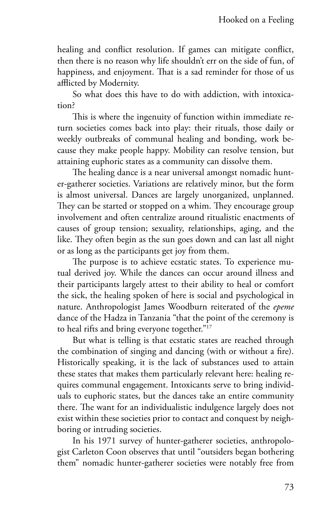healing and conflict resolution. If games can mitigate conflict, then there is no reason why life shouldn't err on the side of fun, of happiness, and enjoyment. That is a sad reminder for those of us afflicted by Modernity.

So what does this have to do with addiction, with intoxication?

This is where the ingenuity of function within immediate return societies comes back into play: their rituals, those daily or weekly outbreaks of communal healing and bonding, work because they make people happy. Mobility can resolve tension, but attaining euphoric states as a community can dissolve them.

The healing dance is a near universal amongst nomadic hunter-gatherer societies. Variations are relatively minor, but the form is almost universal. Dances are largely unorganized, unplanned. They can be started or stopped on a whim. They encourage group involvement and often centralize around ritualistic enactments of causes of group tension; sexuality, relationships, aging, and the like. They often begin as the sun goes down and can last all night or as long as the participants get joy from them.

The purpose is to achieve ecstatic states. To experience mutual derived joy. While the dances can occur around illness and their participants largely attest to their ability to heal or comfort the sick, the healing spoken of here is social and psychological in nature. Anthropologist James Woodburn reiterated of the *epeme* dance of the Hadza in Tanzania "that the point of the ceremony is to heal rifts and bring everyone together."17

But what is telling is that ecstatic states are reached through the combination of singing and dancing (with or without a fire). Historically speaking, it is the lack of substances used to attain these states that makes them particularly relevant here: healing requires communal engagement. Intoxicants serve to bring individuals to euphoric states, but the dances take an entire community there. The want for an individualistic indulgence largely does not exist within these societies prior to contact and conquest by neighboring or intruding societies.

In his 1971 survey of hunter-gatherer societies, anthropologist Carleton Coon observes that until "outsiders began bothering them" nomadic hunter-gatherer societies were notably free from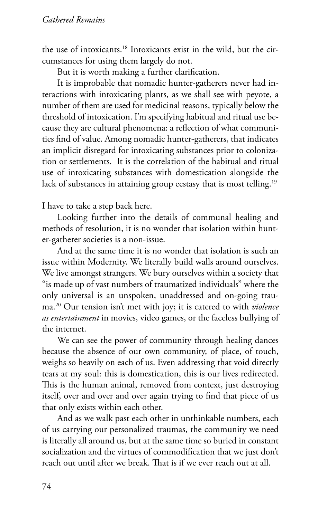the use of intoxicants.18 Intoxicants exist in the wild, but the circumstances for using them largely do not.

But it is worth making a further clarification.

It is improbable that nomadic hunter-gatherers never had interactions with intoxicating plants, as we shall see with peyote, a number of them are used for medicinal reasons, typically below the threshold of intoxication. I'm specifying habitual and ritual use because they are cultural phenomena: a reflection of what communities find of value. Among nomadic hunter-gatherers, that indicates an implicit disregard for intoxicating substances prior to colonization or settlements. It is the correlation of the habitual and ritual use of intoxicating substances with domestication alongside the lack of substances in attaining group ecstasy that is most telling.<sup>19</sup>

I have to take a step back here.

Looking further into the details of communal healing and methods of resolution, it is no wonder that isolation within hunter-gatherer societies is a non-issue.

And at the same time it is no wonder that isolation is such an issue within Modernity. We literally build walls around ourselves. We live amongst strangers. We bury ourselves within a society that "is made up of vast numbers of traumatized individuals" where the only universal is an unspoken, unaddressed and on-going trauma.20 Our tension isn't met with joy; it is catered to with *violence as entertainment* in movies, video games, or the faceless bullying of the internet.

We can see the power of community through healing dances because the absence of our own community, of place, of touch, weighs so heavily on each of us. Even addressing that void directly tears at my soul: this is domestication, this is our lives redirected. This is the human animal, removed from context, just destroying itself, over and over and over again trying to find that piece of us that only exists within each other.

And as we walk past each other in unthinkable numbers, each of us carrying our personalized traumas, the community we need is literally all around us, but at the same time so buried in constant socialization and the virtues of commodification that we just don't reach out until after we break. That is if we ever reach out at all.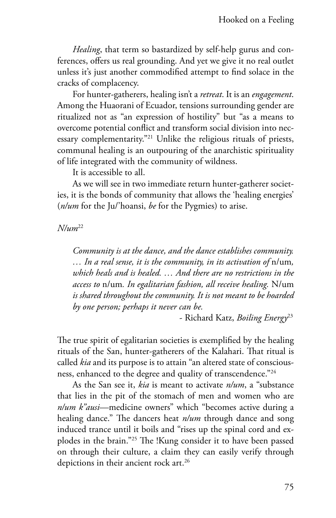*Healing*, that term so bastardized by self-help gurus and conferences, offers us real grounding. And yet we give it no real outlet unless it's just another commodified attempt to find solace in the cracks of complacency.

For hunter-gatherers, healing isn't a *retreat*. It is an *engagement*. Among the Huaorani of Ecuador, tensions surrounding gender are ritualized not as "an expression of hostility" but "as a means to overcome potential conflict and transform social division into necessary complementarity."21 Unlike the religious rituals of priests, communal healing is an outpouring of the anarchistic spirituality of life integrated with the community of wildness.

It is accessible to all.

As we will see in two immediate return hunter-gatherer societies, it is the bonds of community that allows the 'healing energies' (*n/um* for the Ju/'hoansi, *be* for the Pygmies) to arise.

*N/um*<sup>22</sup>

*Community is at the dance, and the dance establishes community. … In a real sense, it is the community, in its activation of* n/um*, which heals and is healed. … And there are no restrictions in the access to* n/um*. In egalitarian fashion, all receive healing.* N/um *is shared throughout the community. It is not meant to be hoarded by one person; perhaps it never can be.*

- Richard Katz, *Boiling Energy*<sup>23</sup>

The true spirit of egalitarian societies is exemplified by the healing rituals of the San, hunter-gatherers of the Kalahari. That ritual is called *kia* and its purpose is to attain "an altered state of consciousness, enhanced to the degree and quality of transcendence."24

As the San see it, *kia* is meant to activate *n/um*, a "substance that lies in the pit of the stomach of men and women who are *n/um k"ausi*—medicine owners" which "becomes active during a healing dance." The dancers heat *n/um* through dance and song induced trance until it boils and "rises up the spinal cord and explodes in the brain."25 The !Kung consider it to have been passed on through their culture, a claim they can easily verify through depictions in their ancient rock art.<sup>26</sup>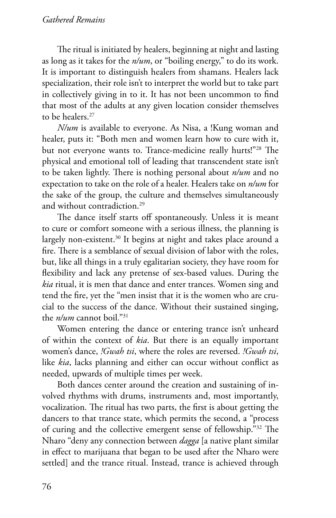The ritual is initiated by healers, beginning at night and lasting as long as it takes for the *n/um*, or "boiling energy," to do its work. It is important to distinguish healers from shamans. Healers lack specialization, their role isn't to interpret the world but to take part in collectively giving in to it. It has not been uncommon to find that most of the adults at any given location consider themselves to be healers.27

*N/um* is available to everyone. As Nisa, a !Kung woman and healer, puts it: "Both men and women learn how to cure with it, but not everyone wants to. Trance-medicine really hurts!"28 The physical and emotional toll of leading that transcendent state isn't to be taken lightly. There is nothing personal about *n/um* and no expectation to take on the role of a healer. Healers take on *n/um* for the sake of the group, the culture and themselves simultaneously and without contradiction.<sup>29</sup>

The dance itself starts off spontaneously. Unless it is meant to cure or comfort someone with a serious illness, the planning is largely non-existent.<sup>30</sup> It begins at night and takes place around a fire. There is a semblance of sexual division of labor with the roles, but, like all things in a truly egalitarian society, they have room for flexibility and lack any pretense of sex-based values. During the *kia* ritual, it is men that dance and enter trances. Women sing and tend the fire, yet the "men insist that it is the women who are crucial to the success of the dance. Without their sustained singing, the *n/um* cannot boil."31

Women entering the dance or entering trance isn't unheard of within the context of *kia*. But there is an equally important women's dance, *!Gwah tsi*, where the roles are reversed. *!Gwah tsi*, like *kia*, lacks planning and either can occur without conflict as needed, upwards of multiple times per week.

Both dances center around the creation and sustaining of involved rhythms with drums, instruments and, most importantly, vocalization. The ritual has two parts, the first is about getting the dancers to that trance state, which permits the second, a "process of curing and the collective emergent sense of fellowship."32 The Nharo "deny any connection between *dagga* [a native plant similar in effect to marijuana that began to be used after the Nharo were settled] and the trance ritual. Instead, trance is achieved through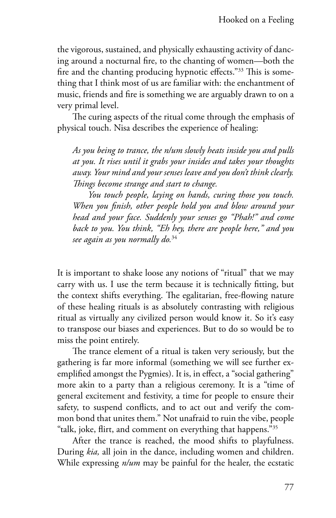the vigorous, sustained, and physically exhausting activity of dancing around a nocturnal fire, to the chanting of women—both the fire and the chanting producing hypnotic effects."33 This is something that I think most of us are familiar with: the enchantment of music, friends and fire is something we are arguably drawn to on a very primal level.

The curing aspects of the ritual come through the emphasis of physical touch. Nisa describes the experience of healing:

*As you being to trance, the n/um slowly heats inside you and pulls at you. It rises until it grabs your insides and takes your thoughts away. Your mind and your senses leave and you don't think clearly. Things become strange and start to change.*

 *You touch people, laying on hands, curing those you touch. When you finish, other people hold you and blow around your head and your face. Suddenly your senses go "Phah!" and come back to you. You think, "Eh hey, there are people here," and you see again as you normally do.*<sup>34</sup>

It is important to shake loose any notions of "ritual" that we may carry with us. I use the term because it is technically fitting, but the context shifts everything. The egalitarian, free-flowing nature of these healing rituals is as absolutely contrasting with religious ritual as virtually any civilized person would know it. So it's easy to transpose our biases and experiences. But to do so would be to miss the point entirely.

The trance element of a ritual is taken very seriously, but the gathering is far more informal (something we will see further exemplified amongst the Pygmies). It is, in effect, a "social gathering" more akin to a party than a religious ceremony. It is a "time of general excitement and festivity, a time for people to ensure their safety, to suspend conflicts, and to act out and verify the common bond that unites them." Not unafraid to ruin the vibe, people "talk, joke, flirt, and comment on everything that happens."35

After the trance is reached, the mood shifts to playfulness. During *kia,* all join in the dance, including women and children. While expressing *n/um* may be painful for the healer, the ecstatic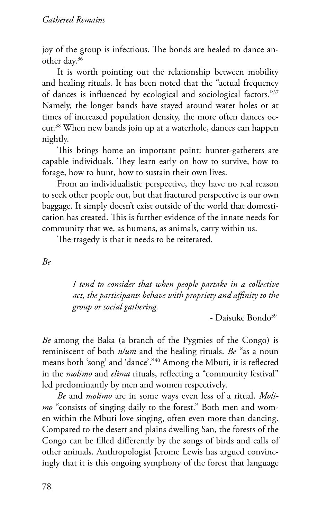joy of the group is infectious. The bonds are healed to dance another day.36

It is worth pointing out the relationship between mobility and healing rituals. It has been noted that the "actual frequency of dances is influenced by ecological and sociological factors."37 Namely, the longer bands have stayed around water holes or at times of increased population density, the more often dances occur.38 When new bands join up at a waterhole, dances can happen nightly.

This brings home an important point: hunter-gatherers are capable individuals. They learn early on how to survive, how to forage, how to hunt, how to sustain their own lives.

From an individualistic perspective, they have no real reason to seek other people out, but that fractured perspective is our own baggage. It simply doesn't exist outside of the world that domestication has created. This is further evidence of the innate needs for community that we, as humans, as animals, carry within us.

The tragedy is that it needs to be reiterated.

*Be*

*I tend to consider that when people partake in a collective act, the participants behave with propriety and affinity to the group or social gathering.*

- Daisuke Bondo39

*Be* among the Baka (a branch of the Pygmies of the Congo) is reminiscent of both *n/um* and the healing rituals. *Be* "as a noun means both 'song' and 'dance'."40 Among the Mbuti, it is reflected in the *molimo* and *elima* rituals, reflecting a "community festival" led predominantly by men and women respectively.

*Be* and *molimo* are in some ways even less of a ritual. *Molimo* "consists of singing daily to the forest." Both men and women within the Mbuti love singing, often even more than dancing. Compared to the desert and plains dwelling San, the forests of the Congo can be filled differently by the songs of birds and calls of other animals. Anthropologist Jerome Lewis has argued convincingly that it is this ongoing symphony of the forest that language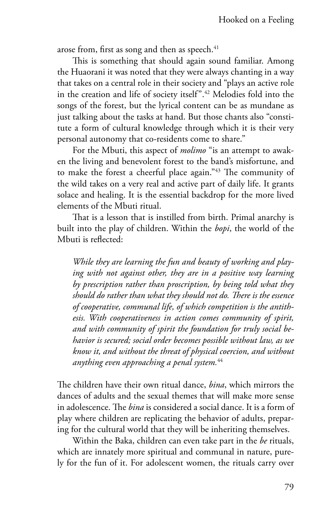arose from, first as song and then as speech.<sup>41</sup>

This is something that should again sound familiar. Among the Huaorani it was noted that they were always chanting in a way that takes on a central role in their society and "plays an active role in the creation and life of society itself".42 Melodies fold into the songs of the forest, but the lyrical content can be as mundane as just talking about the tasks at hand. But those chants also "constitute a form of cultural knowledge through which it is their very personal autonomy that co-residents come to share."

For the Mbuti, this aspect of *molimo* "is an attempt to awaken the living and benevolent forest to the band's misfortune, and to make the forest a cheerful place again."43 The community of the wild takes on a very real and active part of daily life. It grants solace and healing. It is the essential backdrop for the more lived elements of the Mbuti ritual.

That is a lesson that is instilled from birth. Primal anarchy is built into the play of children. Within the *bopi*, the world of the Mbuti is reflected:

*While they are learning the fun and beauty of working and playing with not against other, they are in a positive way learning by prescription rather than proscription, by being told what they should do rather than what they should not do. There is the essence of cooperative, communal life, of which competition is the antithesis. With cooperativeness in action comes community of spirit, and with community of spirit the foundation for truly social behavior is secured; social order becomes possible without law, as we know it, and without the threat of physical coercion, and without anything even approaching a penal system.*<sup>44</sup>

The children have their own ritual dance, *bina*, which mirrors the dances of adults and the sexual themes that will make more sense in adolescence. The *bina* is considered a social dance. It is a form of play where children are replicating the behavior of adults, preparing for the cultural world that they will be inheriting themselves.

Within the Baka, children can even take part in the *be* rituals, which are innately more spiritual and communal in nature, purely for the fun of it. For adolescent women, the rituals carry over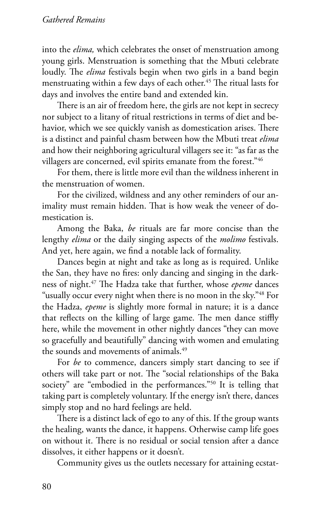into the *elima,* which celebrates the onset of menstruation among young girls. Menstruation is something that the Mbuti celebrate loudly. The *elima* festivals begin when two girls in a band begin menstruating within a few days of each other.<sup>45</sup> The ritual lasts for days and involves the entire band and extended kin.

There is an air of freedom here, the girls are not kept in secrecy nor subject to a litany of ritual restrictions in terms of diet and behavior, which we see quickly vanish as domestication arises. There is a distinct and painful chasm between how the Mbuti treat *elima* and how their neighboring agricultural villagers see it: "as far as the villagers are concerned, evil spirits emanate from the forest."46

For them, there is little more evil than the wildness inherent in the menstruation of women.

For the civilized, wildness and any other reminders of our animality must remain hidden. That is how weak the veneer of domestication is.

Among the Baka, *be* rituals are far more concise than the lengthy *elima* or the daily singing aspects of the *molimo* festivals. And yet, here again, we find a notable lack of formality.

Dances begin at night and take as long as is required. Unlike the San, they have no fires: only dancing and singing in the darkness of night.47 The Hadza take that further, whose *epeme* dances "usually occur every night when there is no moon in the sky."48 For the Hadza, *epeme* is slightly more formal in nature; it is a dance that reflects on the killing of large game. The men dance stiffly here, while the movement in other nightly dances "they can move so gracefully and beautifully" dancing with women and emulating the sounds and movements of animals.<sup>49</sup>

For *be* to commence, dancers simply start dancing to see if others will take part or not. The "social relationships of the Baka society" are "embodied in the performances."<sup>50</sup> It is telling that taking part is completely voluntary. If the energy isn't there, dances simply stop and no hard feelings are held.

There is a distinct lack of ego to any of this. If the group wants the healing, wants the dance, it happens. Otherwise camp life goes on without it. There is no residual or social tension after a dance dissolves, it either happens or it doesn't.

Community gives us the outlets necessary for attaining ecstat-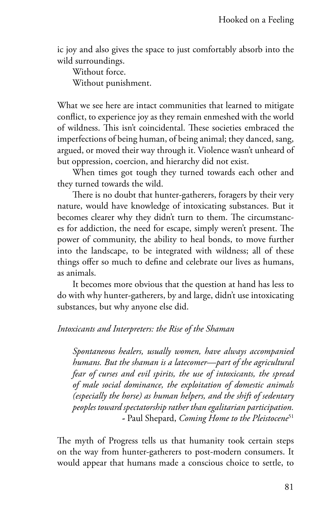ic joy and also gives the space to just comfortably absorb into the wild surroundings.

Without force. Without punishment.

What we see here are intact communities that learned to mitigate conflict, to experience joy as they remain enmeshed with the world of wildness. This isn't coincidental. These societies embraced the imperfections of being human, of being animal; they danced, sang, argued, or moved their way through it. Violence wasn't unheard of but oppression, coercion, and hierarchy did not exist.

When times got tough they turned towards each other and they turned towards the wild.

There is no doubt that hunter-gatherers, foragers by their very nature, would have knowledge of intoxicating substances. But it becomes clearer why they didn't turn to them. The circumstances for addiction, the need for escape, simply weren't present. The power of community, the ability to heal bonds, to move further into the landscape, to be integrated with wildness; all of these things offer so much to define and celebrate our lives as humans, as animals.

It becomes more obvious that the question at hand has less to do with why hunter-gatherers, by and large, didn't use intoxicating substances, but why anyone else did.

#### *Intoxicants and Interpreters: the Rise of the Shaman*

*Spontaneous healers, usually women, have always accompanied humans. But the shaman is a latecomer—part of the agricultural fear of curses and evil spirits, the use of intoxicants, the spread of male social dominance, the exploitation of domestic animals (especially the horse) as human helpers, and the shift of sedentary peoples toward spectatorship rather than egalitarian participation.* **-** Paul Shepard, *Coming Home to the Pleistocene*<sup>51</sup>

The myth of Progress tells us that humanity took certain steps on the way from hunter-gatherers to post-modern consumers. It would appear that humans made a conscious choice to settle, to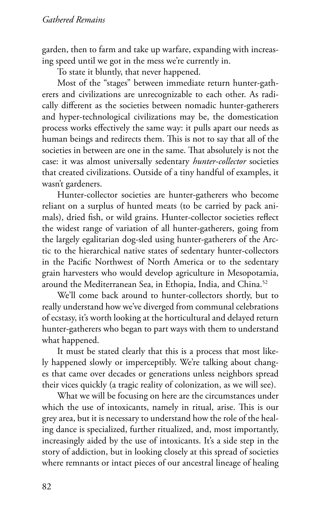garden, then to farm and take up warfare, expanding with increasing speed until we got in the mess we're currently in.

To state it bluntly, that never happened.

Most of the "stages" between immediate return hunter-gatherers and civilizations are unrecognizable to each other. As radically different as the societies between nomadic hunter-gatherers and hyper-technological civilizations may be, the domestication process works effectively the same way: it pulls apart our needs as human beings and redirects them. This is not to say that all of the societies in between are one in the same. That absolutely is not the case: it was almost universally sedentary *hunter-collector* societies that created civilizations. Outside of a tiny handful of examples, it wasn't gardeners.

Hunter-collector societies are hunter-gatherers who become reliant on a surplus of hunted meats (to be carried by pack animals), dried fish, or wild grains. Hunter-collector societies reflect the widest range of variation of all hunter-gatherers, going from the largely egalitarian dog-sled using hunter-gatherers of the Arctic to the hierarchical native states of sedentary hunter-collectors in the Pacific Northwest of North America or to the sedentary grain harvesters who would develop agriculture in Mesopotamia, around the Mediterranean Sea, in Ethopia, India, and China.<sup>52</sup>

We'll come back around to hunter-collectors shortly, but to really understand how we've diverged from communal celebrations of ecstasy, it's worth looking at the horticultural and delayed return hunter-gatherers who began to part ways with them to understand what happened.

It must be stated clearly that this is a process that most likely happened slowly or imperceptibly. We're talking about changes that came over decades or generations unless neighbors spread their vices quickly (a tragic reality of colonization, as we will see).

What we will be focusing on here are the circumstances under which the use of intoxicants, namely in ritual, arise. This is our grey area, but it is necessary to understand how the role of the healing dance is specialized, further ritualized, and, most importantly, increasingly aided by the use of intoxicants. It's a side step in the story of addiction, but in looking closely at this spread of societies where remnants or intact pieces of our ancestral lineage of healing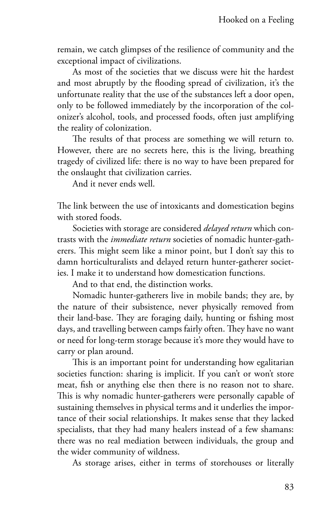remain, we catch glimpses of the resilience of community and the exceptional impact of civilizations.

As most of the societies that we discuss were hit the hardest and most abruptly by the flooding spread of civilization, it's the unfortunate reality that the use of the substances left a door open, only to be followed immediately by the incorporation of the colonizer's alcohol, tools, and processed foods, often just amplifying the reality of colonization.

The results of that process are something we will return to. However, there are no secrets here, this is the living, breathing tragedy of civilized life: there is no way to have been prepared for the onslaught that civilization carries.

And it never ends well.

The link between the use of intoxicants and domestication begins with stored foods.

Societies with storage are considered *delayed return* which contrasts with the *immediate return* societies of nomadic hunter-gatherers. This might seem like a minor point, but I don't say this to damn horticulturalists and delayed return hunter-gatherer societies. I make it to understand how domestication functions.

And to that end, the distinction works.

Nomadic hunter-gatherers live in mobile bands; they are, by the nature of their subsistence, never physically removed from their land-base. They are foraging daily, hunting or fishing most days, and travelling between camps fairly often. They have no want or need for long-term storage because it's more they would have to carry or plan around.

This is an important point for understanding how egalitarian societies function: sharing is implicit. If you can't or won't store meat, fish or anything else then there is no reason not to share. This is why nomadic hunter-gatherers were personally capable of sustaining themselves in physical terms and it underlies the importance of their social relationships. It makes sense that they lacked specialists, that they had many healers instead of a few shamans: there was no real mediation between individuals, the group and the wider community of wildness.

As storage arises, either in terms of storehouses or literally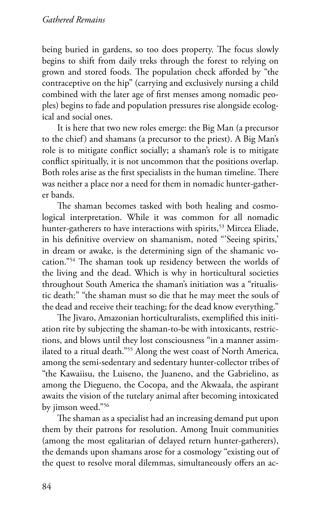being buried in gardens, so too does property. The focus slowly begins to shift from daily treks through the forest to relying on grown and stored foods. The population check afforded by "the contraceptive on the hip" (carrying and exclusively nursing a child combined with the later age of first menses among nomadic peoples) begins to fade and population pressures rise alongside ecological and social ones.

It is here that two new roles emerge: the Big Man (a precursor to the chief) and shamans (a precursor to the priest). A Big Man's role is to mitigate conflict socially; a shaman's role is to mitigate conflict spiritually, it is not uncommon that the positions overlap. Both roles arise as the first specialists in the human timeline. There was neither a place nor a need for them in nomadic hunter-gatherer bands.

The shaman becomes tasked with both healing and cosmological interpretation. While it was common for all nomadic hunter-gatherers to have interactions with spirits,<sup>53</sup> Mircea Eliade, in his definitive overview on shamanism, noted "'Seeing spirits,' in dream or awake, is the determining sign of the shamanic vocation."54 The shaman took up residency between the worlds of the living and the dead. Which is why in horticultural societies throughout South America the shaman's initiation was a "ritualistic death:" "the shaman must so die that he may meet the souls of the dead and receive their teaching; for the dead know everything."

The Jivaro, Amazonian horticulturalists, exemplified this initiation rite by subjecting the shaman-to-be with intoxicants, restrictions, and blows until they lost consciousness "in a manner assimilated to a ritual death."55 Along the west coast of North America, among the semi-sedentary and sedentary hunter-collector tribes of "the Kawaiisu, the Luiseno, the Juaneno, and the Gabrielino, as among the Diegueno, the Cocopa, and the Akwaala, the aspirant awaits the vision of the tutelary animal after becoming intoxicated by jimson weed."56

The shaman as a specialist had an increasing demand put upon them by their patrons for resolution. Among Inuit communities (among the most egalitarian of delayed return hunter-gatherers), the demands upon shamans arose for a cosmology "existing out of the quest to resolve moral dilemmas, simultaneously offers an ac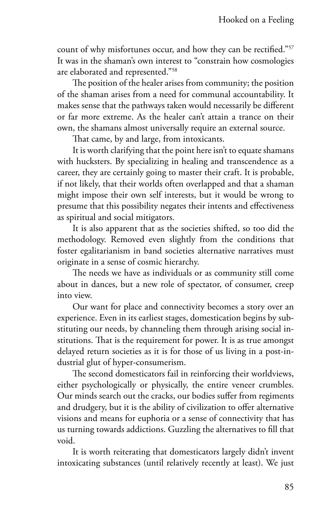count of why misfortunes occur, and how they can be rectified."57 It was in the shaman's own interest to "constrain how cosmologies are elaborated and represented."58

The position of the healer arises from community; the position of the shaman arises from a need for communal accountability. It makes sense that the pathways taken would necessarily be different or far more extreme. As the healer can't attain a trance on their own, the shamans almost universally require an external source.

That came, by and large, from intoxicants.

It is worth clarifying that the point here isn't to equate shamans with hucksters. By specializing in healing and transcendence as a career, they are certainly going to master their craft. It is probable, if not likely, that their worlds often overlapped and that a shaman might impose their own self interests, but it would be wrong to presume that this possibility negates their intents and effectiveness as spiritual and social mitigators.

It is also apparent that as the societies shifted, so too did the methodology. Removed even slightly from the conditions that foster egalitarianism in band societies alternative narratives must originate in a sense of cosmic hierarchy.

The needs we have as individuals or as community still come about in dances, but a new role of spectator, of consumer, creep into view.

Our want for place and connectivity becomes a story over an experience. Even in its earliest stages, domestication begins by substituting our needs, by channeling them through arising social institutions. That is the requirement for power. It is as true amongst delayed return societies as it is for those of us living in a post-industrial glut of hyper-consumerism.

The second domesticators fail in reinforcing their worldviews, either psychologically or physically, the entire veneer crumbles. Our minds search out the cracks, our bodies suffer from regiments and drudgery, but it is the ability of civilization to offer alternative visions and means for euphoria or a sense of connectivity that has us turning towards addictions. Guzzling the alternatives to fill that void.

It is worth reiterating that domesticators largely didn't invent intoxicating substances (until relatively recently at least). We just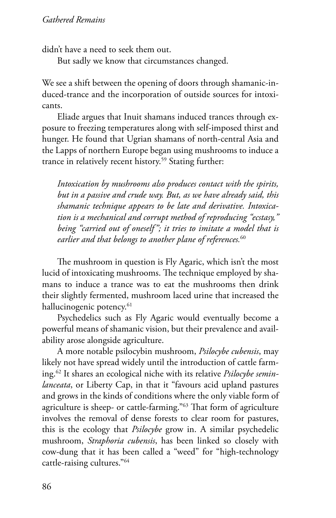#### *Gathered Remains*

didn't have a need to seek them out.

But sadly we know that circumstances changed.

We see a shift between the opening of doors through shamanic-induced-trance and the incorporation of outside sources for intoxicants.

Eliade argues that Inuit shamans induced trances through exposure to freezing temperatures along with self-imposed thirst and hunger. He found that Ugrian shamans of north-central Asia and the Lapps of northern Europe began using mushrooms to induce a trance in relatively recent history.<sup>59</sup> Stating further:

*Intoxication by mushrooms also produces contact with the spirits, but in a passive and crude way. But, as we have already said, this shamanic technique appears to be late and derivative. Intoxication is a mechanical and corrupt method of reproducing "ecstasy," being "carried out of oneself"; it tries to imitate a model that is earlier and that belongs to another plane of references.*<sup>60</sup>

The mushroom in question is Fly Agaric, which isn't the most lucid of intoxicating mushrooms. The technique employed by shamans to induce a trance was to eat the mushrooms then drink their slightly fermented, mushroom laced urine that increased the hallucinogenic potency.<sup>61</sup>

Psychedelics such as Fly Agaric would eventually become a powerful means of shamanic vision, but their prevalence and availability arose alongside agriculture.

A more notable psilocybin mushroom, *Psilocybe cubensis*, may likely not have spread widely until the introduction of cattle farming.62 It shares an ecological niche with its relative *Psilocybe seminlanceata*, or Liberty Cap, in that it "favours acid upland pastures and grows in the kinds of conditions where the only viable form of agriculture is sheep- or cattle-farming."63 That form of agriculture involves the removal of dense forests to clear room for pastures, this is the ecology that *Psilocybe* grow in. A similar psychedelic mushroom, *Straphoria cubensis*, has been linked so closely with cow-dung that it has been called a "weed" for "high-technology cattle-raising cultures."64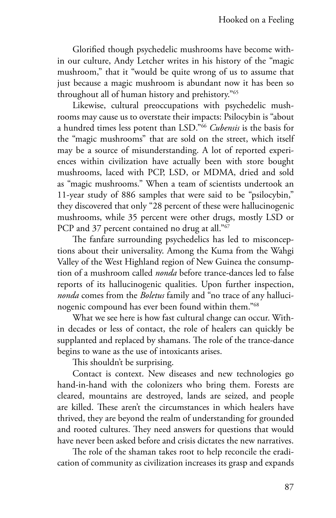Glorified though psychedelic mushrooms have become within our culture, Andy Letcher writes in his history of the "magic mushroom," that it "would be quite wrong of us to assume that just because a magic mushroom is abundant now it has been so throughout all of human history and prehistory."65

Likewise, cultural preoccupations with psychedelic mushrooms may cause us to overstate their impacts: Psilocybin is "about a hundred times less potent than LSD."66 *Cubensis* is the basis for the "magic mushrooms" that are sold on the street, which itself may be a source of misunderstanding. A lot of reported experiences within civilization have actually been with store bought mushrooms, laced with PCP, LSD, or MDMA, dried and sold as "magic mushrooms." When a team of scientists undertook an 11-year study of 886 samples that were said to be "psilocybin," they discovered that only "28 percent of these were hallucinogenic mushrooms, while 35 percent were other drugs, mostly LSD or PCP and 37 percent contained no drug at all."<sup>67</sup>

The fanfare surrounding psychedelics has led to misconceptions about their universality. Among the Kuma from the Wahgi Valley of the West Highland region of New Guinea the consumption of a mushroom called *nonda* before trance-dances led to false reports of its hallucinogenic qualities. Upon further inspection, *nonda* comes from the *Boletus* family and "no trace of any hallucinogenic compound has ever been found within them."68

What we see here is how fast cultural change can occur. Within decades or less of contact, the role of healers can quickly be supplanted and replaced by shamans. The role of the trance-dance begins to wane as the use of intoxicants arises.

This shouldn't be surprising.

Contact is context. New diseases and new technologies go hand-in-hand with the colonizers who bring them. Forests are cleared, mountains are destroyed, lands are seized, and people are killed. These aren't the circumstances in which healers have thrived, they are beyond the realm of understanding for grounded and rooted cultures. They need answers for questions that would have never been asked before and crisis dictates the new narratives.

The role of the shaman takes root to help reconcile the eradication of community as civilization increases its grasp and expands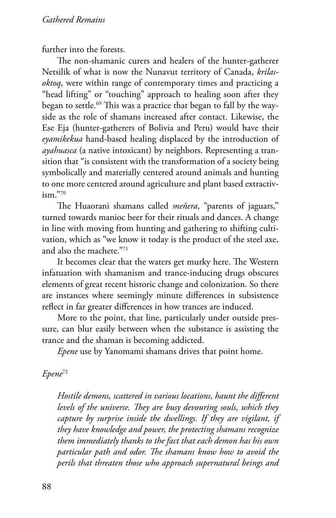further into the forests.

The non-shamanic curers and healers of the hunter-gatherer Netsilik of what is now the Nunavut territory of Canada, *krilasoktoq*, were within range of contemporary times and practicing a "head lifting" or "touching" approach to healing soon after they began to settle.<sup>69</sup> This was a practice that began to fall by the wayside as the role of shamans increased after contact. Likewise, the Ese Eja (hunter-gatherers of Bolivia and Peru) would have their *eyamikekua* hand-based healing displaced by the introduction of *ayahuasca* (a native intoxicant) by neighbors. Representing a transition that "is consistent with the transformation of a society being symbolically and materially centered around animals and hunting to one more centered around agriculture and plant based extractiv- $\lim$  "70

The Huaorani shamans called *meñera*, "parents of jaguars," turned towards manioc beer for their rituals and dances. A change in line with moving from hunting and gathering to shifting cultivation, which as "we know it today is the product of the steel axe, and also the machete. $"^{71}$ 

It becomes clear that the waters get murky here. The Western infatuation with shamanism and trance-inducing drugs obscures elements of great recent historic change and colonization. So there are instances where seemingly minute differences in subsistence reflect in far greater differences in how trances are induced.

More to the point, that line, particularly under outside pressure, can blur easily between when the substance is assisting the trance and the shaman is becoming addicted.

*Epene* use by Yanomami shamans drives that point home.

*Epene*<sup>72</sup>

*Hostile demons, scattered in various locations, haunt the different levels of the universe. They are busy devouring souls, which they capture by surprise inside the dwellings. If they are vigilant, if they have knowledge and power, the protecting shamans recognize them immediately thanks to the fact that each demon has his own particular path and odor. The shamans know how to avoid the perils that threaten those who approach supernatural beings and*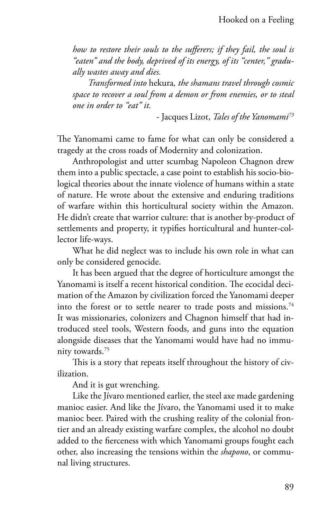*how to restore their souls to the sufferers; if they fail, the soul is "eaten" and the body, deprived of its energy, of its "center," gradually wastes away and dies.*

*Transformed into* hekura*, the shamans travel through cosmic space to recover a soul from a demon or from enemies, or to steal one in order to "eat" it.*

- Jacques Lizot, *Tales of the Yanomami73*

The Yanomami came to fame for what can only be considered a tragedy at the cross roads of Modernity and colonization.

Anthropologist and utter scumbag Napoleon Chagnon drew them into a public spectacle, a case point to establish his socio-biological theories about the innate violence of humans within a state of nature. He wrote about the extensive and enduring traditions of warfare within this horticultural society within the Amazon. He didn't create that warrior culture: that is another by-product of settlements and property, it typifies horticultural and hunter-collector life-ways.

What he did neglect was to include his own role in what can only be considered genocide.

It has been argued that the degree of horticulture amongst the Yanomami is itself a recent historical condition. The ecocidal decimation of the Amazon by civilization forced the Yanomami deeper into the forest or to settle nearer to trade posts and missions.<sup>74</sup> It was missionaries, colonizers and Chagnon himself that had introduced steel tools, Western foods, and guns into the equation alongside diseases that the Yanomami would have had no immunity towards.75

This is a story that repeats itself throughout the history of civilization.

And it is gut wrenching.

Like the Jívaro mentioned earlier, the steel axe made gardening manioc easier. And like the Jívaro, the Yanomami used it to make manioc beer. Paired with the crushing reality of the colonial frontier and an already existing warfare complex, the alcohol no doubt added to the fierceness with which Yanomami groups fought each other, also increasing the tensions within the *shapono*, or communal living structures.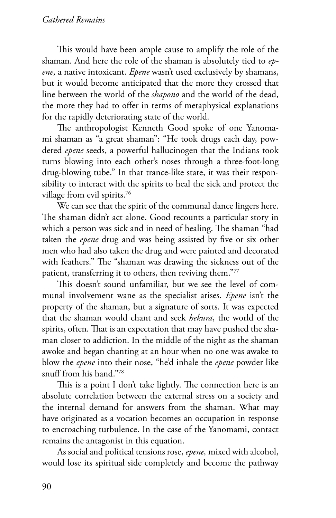This would have been ample cause to amplify the role of the shaman. And here the role of the shaman is absolutely tied to *epene*, a native intoxicant. *Epene* wasn't used exclusively by shamans, but it would become anticipated that the more they crossed that line between the world of the *shapono* and the world of the dead, the more they had to offer in terms of metaphysical explanations for the rapidly deteriorating state of the world.

The anthropologist Kenneth Good spoke of one Yanomami shaman as "a great shaman": "He took drugs each day, powdered *epene* seeds, a powerful hallucinogen that the Indians took turns blowing into each other's noses through a three-foot-long drug-blowing tube." In that trance-like state, it was their responsibility to interact with the spirits to heal the sick and protect the village from evil spirits.<sup>76</sup>

We can see that the spirit of the communal dance lingers here. The shaman didn't act alone. Good recounts a particular story in which a person was sick and in need of healing. The shaman "had taken the *epene* drug and was being assisted by five or six other men who had also taken the drug and were painted and decorated with feathers." The "shaman was drawing the sickness out of the patient, transferring it to others, then reviving them."77

This doesn't sound unfamiliar, but we see the level of communal involvement wane as the specialist arises. *Epene* isn't the property of the shaman, but a signature of sorts. It was expected that the shaman would chant and seek *hekura*, the world of the spirits, often. That is an expectation that may have pushed the shaman closer to addiction. In the middle of the night as the shaman awoke and began chanting at an hour when no one was awake to blow the *epene* into their nose, "he'd inhale the *epene* powder like snuff from his hand."78

This is a point I don't take lightly. The connection here is an absolute correlation between the external stress on a society and the internal demand for answers from the shaman. What may have originated as a vocation becomes an occupation in response to encroaching turbulence. In the case of the Yanomami, contact remains the antagonist in this equation.

As social and political tensions rose, *epene,* mixed with alcohol, would lose its spiritual side completely and become the pathway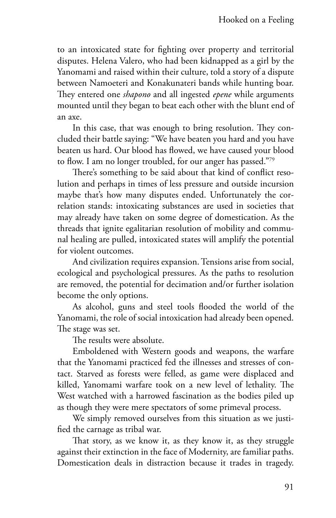to an intoxicated state for fighting over property and territorial disputes. Helena Valero, who had been kidnapped as a girl by the Yanomami and raised within their culture, told a story of a dispute between Namoeteri and Konakunateri bands while hunting boar. They entered one *shapono* and all ingested *epene* while arguments mounted until they began to beat each other with the blunt end of an axe.

In this case, that was enough to bring resolution. They concluded their battle saying: "We have beaten you hard and you have beaten us hard. Our blood has flowed, we have caused your blood to flow. I am no longer troubled, for our anger has passed."79

There's something to be said about that kind of conflict resolution and perhaps in times of less pressure and outside incursion maybe that's how many disputes ended. Unfortunately the correlation stands: intoxicating substances are used in societies that may already have taken on some degree of domestication. As the threads that ignite egalitarian resolution of mobility and communal healing are pulled, intoxicated states will amplify the potential for violent outcomes.

And civilization requires expansion. Tensions arise from social, ecological and psychological pressures. As the paths to resolution are removed, the potential for decimation and/or further isolation become the only options.

As alcohol, guns and steel tools flooded the world of the Yanomami, the role of social intoxication had already been opened. The stage was set.

The results were absolute.

Emboldened with Western goods and weapons, the warfare that the Yanomami practiced fed the illnesses and stresses of contact. Starved as forests were felled, as game were displaced and killed, Yanomami warfare took on a new level of lethality. The West watched with a harrowed fascination as the bodies piled up as though they were mere spectators of some primeval process.

We simply removed ourselves from this situation as we justified the carnage as tribal war.

That story, as we know it, as they know it, as they struggle against their extinction in the face of Modernity, are familiar paths. Domestication deals in distraction because it trades in tragedy.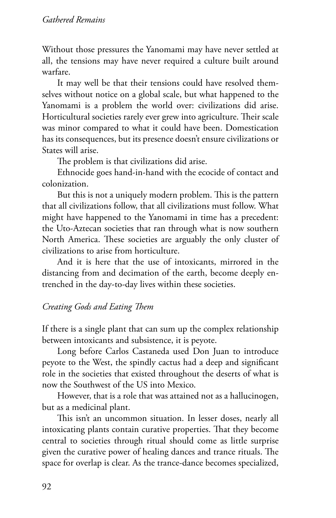Without those pressures the Yanomami may have never settled at all, the tensions may have never required a culture built around warfare.

It may well be that their tensions could have resolved themselves without notice on a global scale, but what happened to the Yanomami is a problem the world over: civilizations did arise. Horticultural societies rarely ever grew into agriculture. Their scale was minor compared to what it could have been. Domestication has its consequences, but its presence doesn't ensure civilizations or States will arise.

The problem is that civilizations did arise.

Ethnocide goes hand-in-hand with the ecocide of contact and colonization.

But this is not a uniquely modern problem. This is the pattern that all civilizations follow, that all civilizations must follow. What might have happened to the Yanomami in time has a precedent: the Uto-Aztecan societies that ran through what is now southern North America. These societies are arguably the only cluster of civilizations to arise from horticulture.

And it is here that the use of intoxicants, mirrored in the distancing from and decimation of the earth, become deeply entrenched in the day-to-day lives within these societies.

## *Creating Gods and Eating Them*

If there is a single plant that can sum up the complex relationship between intoxicants and subsistence, it is peyote.

Long before Carlos Castaneda used Don Juan to introduce peyote to the West, the spindly cactus had a deep and significant role in the societies that existed throughout the deserts of what is now the Southwest of the US into Mexico.

However, that is a role that was attained not as a hallucinogen, but as a medicinal plant.

This isn't an uncommon situation. In lesser doses, nearly all intoxicating plants contain curative properties. That they become central to societies through ritual should come as little surprise given the curative power of healing dances and trance rituals. The space for overlap is clear. As the trance-dance becomes specialized,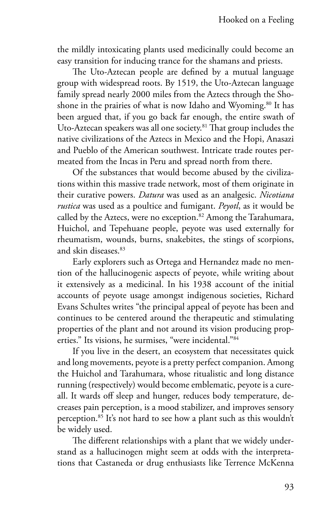the mildly intoxicating plants used medicinally could become an easy transition for inducing trance for the shamans and priests.

The Uto-Aztecan people are defined by a mutual language group with widespread roots. By 1519, the Uto-Aztecan language family spread nearly 2000 miles from the Aztecs through the Shoshone in the prairies of what is now Idaho and Wyoming.<sup>80</sup> It has been argued that, if you go back far enough, the entire swath of Uto-Aztecan speakers was all one society.<sup>81</sup> That group includes the native civilizations of the Aztecs in Mexico and the Hopi, Anasazi and Pueblo of the American southwest. Intricate trade routes permeated from the Incas in Peru and spread north from there.

Of the substances that would become abused by the civilizations within this massive trade network, most of them originate in their curative powers. *Datura* was used as an analgesic. *Nicotiana rustica* was used as a poultice and fumigant. *Peyotl*, as it would be called by the Aztecs, were no exception.<sup>82</sup> Among the Tarahumara, Huichol, and Tepehuane people, peyote was used externally for rheumatism, wounds, burns, snakebites, the stings of scorpions, and skin diseases<sup>83</sup>

Early explorers such as Ortega and Hernandez made no mention of the hallucinogenic aspects of peyote, while writing about it extensively as a medicinal. In his 1938 account of the initial accounts of peyote usage amongst indigenous societies, Richard Evans Schultes writes "the principal appeal of peyote has been and continues to be centered around the therapeutic and stimulating properties of the plant and not around its vision producing properties." Its visions, he surmises, "were incidental."84

If you live in the desert, an ecosystem that necessitates quick and long movements, peyote is a pretty perfect companion. Among the Huichol and Tarahumara, whose ritualistic and long distance running (respectively) would become emblematic, peyote is a cureall. It wards off sleep and hunger, reduces body temperature, decreases pain perception, is a mood stabilizer, and improves sensory perception.<sup>85</sup> It's not hard to see how a plant such as this wouldn't be widely used.

The different relationships with a plant that we widely understand as a hallucinogen might seem at odds with the interpretations that Castaneda or drug enthusiasts like Terrence McKenna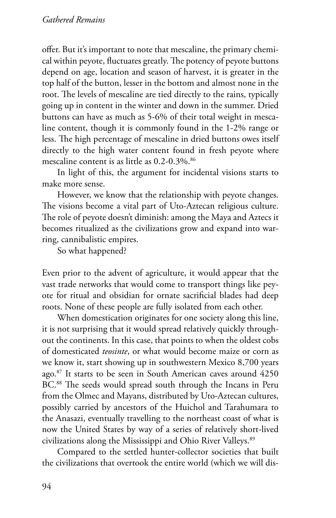offer. But it's important to note that mescaline, the primary chemical within peyote, fluctuates greatly. The potency of peyote buttons depend on age, location and season of harvest, it is greater in the top half of the button, lesser in the bottom and almost none in the root. The levels of mescaline are tied directly to the rains, typically going up in content in the winter and down in the summer. Dried buttons can have as much as 5-6% of their total weight in mescaline content, though it is commonly found in the 1-2% range or less. The high percentage of mescaline in dried buttons owes itself directly to the high water content found in fresh peyote where mescaline content is as little as 0.2-0.3%.<sup>86</sup>

In light of this, the argument for incidental visions starts to make more sense.

However, we know that the relationship with peyote changes. The visions become a vital part of Uto-Aztecan religious culture. The role of peyote doesn't diminish: among the Maya and Aztecs it becomes ritualized as the civilizations grow and expand into warring, cannibalistic empires.

So what happened?

Even prior to the advent of agriculture, it would appear that the vast trade networks that would come to transport things like peyote for ritual and obsidian for ornate sacrificial blades had deep roots. None of these people are fully isolated from each other.

When domestication originates for one society along this line, it is not surprising that it would spread relatively quickly throughout the continents. In this case, that points to when the oldest cobs of domesticated *teosinte*, or what would become maize or corn as we know it, start showing up in southwestern Mexico 8,700 years ago.87 It starts to be seen in South American caves around 4250 BC.<sup>88</sup> The seeds would spread south through the Incans in Peru from the Olmec and Mayans, distributed by Uto-Aztecan cultures, possibly carried by ancestors of the Huichol and Tarahumara to the Anasazi, eventually travelling to the northeast coast of what is now the United States by way of a series of relatively short-lived civilizations along the Mississippi and Ohio River Valleys.<sup>89</sup>

Compared to the settled hunter-collector societies that built the civilizations that overtook the entire world (which we will dis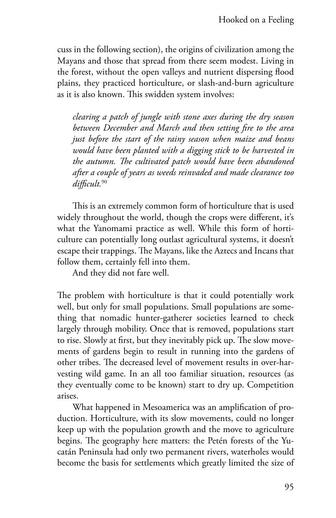cuss in the following section), the origins of civilization among the Mayans and those that spread from there seem modest. Living in the forest, without the open valleys and nutrient dispersing flood plains, they practiced horticulture, or slash-and-burn agriculture as it is also known. This swidden system involves:

*clearing a patch of jungle with stone axes during the dry season between December and March and then setting fire to the area just before the start of the rainy season when maize and beans would have been planted with a digging stick to be harvested in the autumn. The cultivated patch would have been abandoned after a couple of years as weeds reinvaded and made clearance too difficult.*<sup>90</sup>

This is an extremely common form of horticulture that is used widely throughout the world, though the crops were different, it's what the Yanomami practice as well. While this form of horticulture can potentially long outlast agricultural systems, it doesn't escape their trappings. The Mayans, like the Aztecs and Incans that follow them, certainly fell into them.

And they did not fare well.

The problem with horticulture is that it could potentially work well, but only for small populations. Small populations are something that nomadic hunter-gatherer societies learned to check largely through mobility. Once that is removed, populations start to rise. Slowly at first, but they inevitably pick up. The slow movements of gardens begin to result in running into the gardens of other tribes. The decreased level of movement results in over-harvesting wild game. In an all too familiar situation, resources (as they eventually come to be known) start to dry up. Competition arises.

What happened in Mesoamerica was an amplification of production. Horticulture, with its slow movements, could no longer keep up with the population growth and the move to agriculture begins. The geography here matters: the Petén forests of the Yucatán Peninsula had only two permanent rivers, waterholes would become the basis for settlements which greatly limited the size of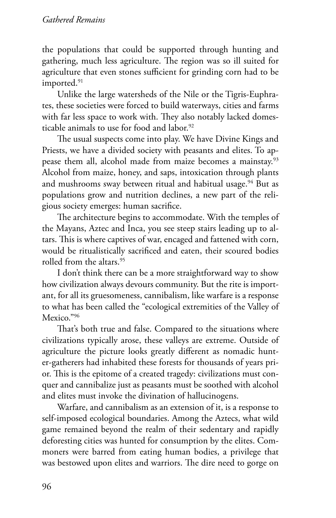the populations that could be supported through hunting and gathering, much less agriculture. The region was so ill suited for agriculture that even stones sufficient for grinding corn had to be imported.<sup>91</sup>

Unlike the large watersheds of the Nile or the Tigris-Euphrates, these societies were forced to build waterways, cities and farms with far less space to work with. They also notably lacked domesticable animals to use for food and labor.<sup>92</sup>

The usual suspects come into play. We have Divine Kings and Priests, we have a divided society with peasants and elites. To appease them all, alcohol made from maize becomes a mainstay.<sup>93</sup> Alcohol from maize, honey, and saps, intoxication through plants and mushrooms sway between ritual and habitual usage.<sup>94</sup> But as populations grow and nutrition declines, a new part of the religious society emerges: human sacrifice.

The architecture begins to accommodate. With the temples of the Mayans, Aztec and Inca, you see steep stairs leading up to altars. This is where captives of war, encaged and fattened with corn, would be ritualistically sacrificed and eaten, their scoured bodies rolled from the altars.95

I don't think there can be a more straightforward way to show how civilization always devours community. But the rite is important, for all its gruesomeness, cannibalism, like warfare is a response to what has been called the "ecological extremities of the Valley of Mexico."96

That's both true and false. Compared to the situations where civilizations typically arose, these valleys are extreme. Outside of agriculture the picture looks greatly different as nomadic hunter-gatherers had inhabited these forests for thousands of years prior. This is the epitome of a created tragedy: civilizations must conquer and cannibalize just as peasants must be soothed with alcohol and elites must invoke the divination of hallucinogens.

Warfare, and cannibalism as an extension of it, is a response to self-imposed ecological boundaries. Among the Aztecs, what wild game remained beyond the realm of their sedentary and rapidly deforesting cities was hunted for consumption by the elites. Commoners were barred from eating human bodies, a privilege that was bestowed upon elites and warriors. The dire need to gorge on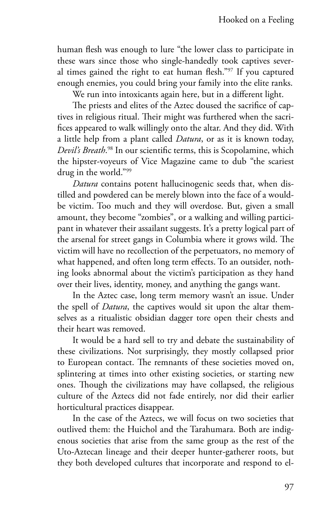human flesh was enough to lure "the lower class to participate in these wars since those who single-handedly took captives several times gained the right to eat human flesh."97 If you captured enough enemies, you could bring your family into the elite ranks.

We run into intoxicants again here, but in a different light.

The priests and elites of the Aztec doused the sacrifice of captives in religious ritual. Their might was furthered when the sacrifices appeared to walk willingly onto the altar. And they did. With a little help from a plant called *Datura*, or as it is known today, *Devil's Breath*. 98 In our scientific terms, this is Scopolamine, which the hipster-voyeurs of Vice Magazine came to dub "the scariest drug in the world."99

*Datura* contains potent hallucinogenic seeds that, when distilled and powdered can be merely blown into the face of a wouldbe victim. Too much and they will overdose. But, given a small amount, they become "zombies", or a walking and willing participant in whatever their assailant suggests. It's a pretty logical part of the arsenal for street gangs in Columbia where it grows wild. The victim will have no recollection of the perpetuators, no memory of what happened, and often long term effects. To an outsider, nothing looks abnormal about the victim's participation as they hand over their lives, identity, money, and anything the gangs want.

In the Aztec case, long term memory wasn't an issue. Under the spell of *Datura*, the captives would sit upon the altar themselves as a ritualistic obsidian dagger tore open their chests and their heart was removed.

It would be a hard sell to try and debate the sustainability of these civilizations. Not surprisingly, they mostly collapsed prior to European contact. The remnants of these societies moved on, splintering at times into other existing societies, or starting new ones. Though the civilizations may have collapsed, the religious culture of the Aztecs did not fade entirely, nor did their earlier horticultural practices disappear.

In the case of the Aztecs, we will focus on two societies that outlived them: the Huichol and the Tarahumara. Both are indigenous societies that arise from the same group as the rest of the Uto-Aztecan lineage and their deeper hunter-gatherer roots, but they both developed cultures that incorporate and respond to el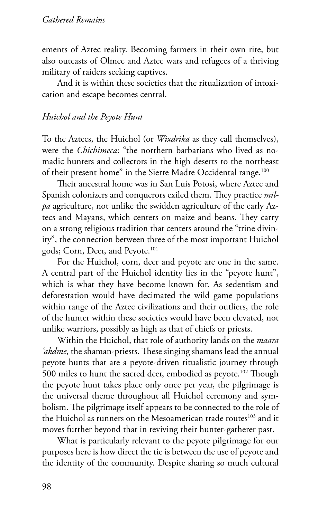ements of Aztec reality. Becoming farmers in their own rite, but also outcasts of Olmec and Aztec wars and refugees of a thriving military of raiders seeking captives.

And it is within these societies that the ritualization of intoxication and escape becomes central.

#### *Huichol and the Peyote Hunt*

To the Aztecs, the Huichol (or *Wixdrika* as they call themselves), were the *Chichimeca*: "the northern barbarians who lived as nomadic hunters and collectors in the high deserts to the northeast of their present home" in the Sierre Madre Occidental range.<sup>100</sup>

Their ancestral home was in San Luis Potosi, where Aztec and Spanish colonizers and conquerors exiled them. They practice *milpa* agriculture, not unlike the swidden agriculture of the early Aztecs and Mayans, which centers on maize and beans. They carry on a strong religious tradition that centers around the "trine divinity", the connection between three of the most important Huichol gods; Corn, Deer, and Peyote.<sup>101</sup>

For the Huichol, corn, deer and peyote are one in the same. A central part of the Huichol identity lies in the "peyote hunt", which is what they have become known for. As sedentism and deforestation would have decimated the wild game populations within range of the Aztec civilizations and their outliers, the role of the hunter within these societies would have been elevated, not unlike warriors, possibly as high as that of chiefs or priests.

Within the Huichol, that role of authority lands on the *maara 'akdme*, the shaman-priests. These singing shamans lead the annual peyote hunts that are a peyote-driven ritualistic journey through 500 miles to hunt the sacred deer, embodied as peyote.<sup>102</sup> Though the peyote hunt takes place only once per year, the pilgrimage is the universal theme throughout all Huichol ceremony and symbolism. The pilgrimage itself appears to be connected to the role of the Huichol as runners on the Mesoamerican trade routes<sup>103</sup> and it moves further beyond that in reviving their hunter-gatherer past.

What is particularly relevant to the peyote pilgrimage for our purposes here is how direct the tie is between the use of peyote and the identity of the community. Despite sharing so much cultural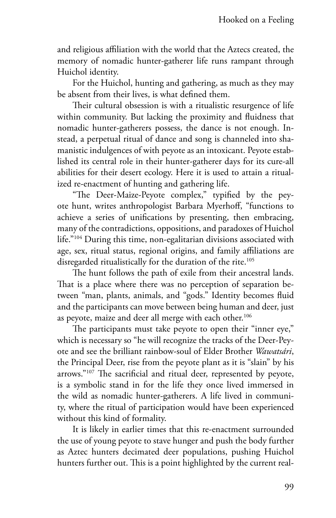and religious affiliation with the world that the Aztecs created, the memory of nomadic hunter-gatherer life runs rampant through Huichol identity.

For the Huichol, hunting and gathering, as much as they may be absent from their lives, is what defined them.

Their cultural obsession is with a ritualistic resurgence of life within community. But lacking the proximity and fluidness that nomadic hunter-gatherers possess, the dance is not enough. Instead, a perpetual ritual of dance and song is channeled into shamanistic indulgences of with peyote as an intoxicant. Peyote established its central role in their hunter-gatherer days for its cure-all abilities for their desert ecology. Here it is used to attain a ritualized re-enactment of hunting and gathering life.

"The Deer-Maize-Peyote complex," typified by the peyote hunt, writes anthropologist Barbara Myerhoff, "functions to achieve a series of unifications by presenting, then embracing, many of the contradictions, oppositions, and paradoxes of Huichol life."104 During this time, non-egalitarian divisions associated with age, sex, ritual status, regional origins, and family affiliations are disregarded ritualistically for the duration of the rite.<sup>105</sup>

The hunt follows the path of exile from their ancestral lands. That is a place where there was no perception of separation between "man, plants, animals, and "gods." Identity becomes fluid and the participants can move between being human and deer, just as peyote, maize and deer all merge with each other.<sup>106</sup>

The participants must take peyote to open their "inner eye," which is necessary so "he will recognize the tracks of the Deer-Peyote and see the brilliant rainbow-soul of Elder Brother *Wawatsári*, the Principal Deer, rise from the peyote plant as it is "slain" by his arrows."107 The sacrificial and ritual deer, represented by peyote, is a symbolic stand in for the life they once lived immersed in the wild as nomadic hunter-gatherers. A life lived in community, where the ritual of participation would have been experienced without this kind of formality.

It is likely in earlier times that this re-enactment surrounded the use of young peyote to stave hunger and push the body further as Aztec hunters decimated deer populations, pushing Huichol hunters further out. This is a point highlighted by the current real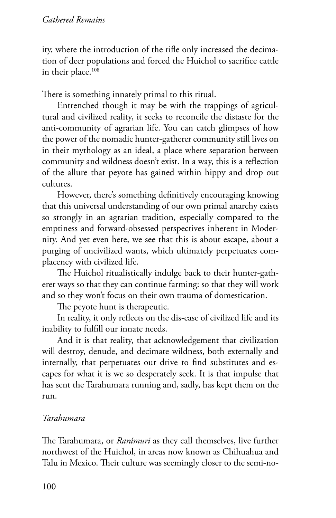ity, where the introduction of the rifle only increased the decimation of deer populations and forced the Huichol to sacrifice cattle in their place.<sup>108</sup>

There is something innately primal to this ritual.

Entrenched though it may be with the trappings of agricultural and civilized reality, it seeks to reconcile the distaste for the anti-community of agrarian life. You can catch glimpses of how the power of the nomadic hunter-gatherer community still lives on in their mythology as an ideal, a place where separation between community and wildness doesn't exist. In a way, this is a reflection of the allure that peyote has gained within hippy and drop out cultures.

However, there's something definitively encouraging knowing that this universal understanding of our own primal anarchy exists so strongly in an agrarian tradition, especially compared to the emptiness and forward-obsessed perspectives inherent in Modernity. And yet even here, we see that this is about escape, about a purging of uncivilized wants, which ultimately perpetuates complacency with civilized life.

The Huichol ritualistically indulge back to their hunter-gatherer ways so that they can continue farming: so that they will work and so they won't focus on their own trauma of domestication.

The peyote hunt is therapeutic.

In reality, it only reflects on the dis-ease of civilized life and its inability to fulfill our innate needs.

And it is that reality, that acknowledgement that civilization will destroy, denude, and decimate wildness, both externally and internally, that perpetuates our drive to find substitutes and escapes for what it is we so desperately seek. It is that impulse that has sent the Tarahumara running and, sadly, has kept them on the run.

## *Tarahumara*

The Tarahumara, or *Rarámuri* as they call themselves, live further northwest of the Huichol, in areas now known as Chihuahua and Talu in Mexico. Their culture was seemingly closer to the semi-no-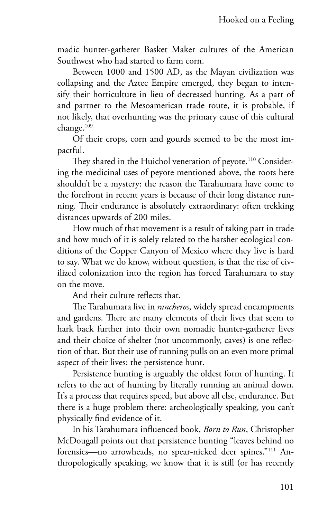madic hunter-gatherer Basket Maker cultures of the American Southwest who had started to farm corn.

Between 1000 and 1500 AD, as the Mayan civilization was collapsing and the Aztec Empire emerged, they began to intensify their horticulture in lieu of decreased hunting. As a part of and partner to the Mesoamerican trade route, it is probable, if not likely, that overhunting was the primary cause of this cultural change.<sup>109</sup>

Of their crops, corn and gourds seemed to be the most impactful.

They shared in the Huichol veneration of peyote.<sup>110</sup> Considering the medicinal uses of peyote mentioned above, the roots here shouldn't be a mystery: the reason the Tarahumara have come to the forefront in recent years is because of their long distance running. Their endurance is absolutely extraordinary: often trekking distances upwards of 200 miles.

How much of that movement is a result of taking part in trade and how much of it is solely related to the harsher ecological conditions of the Copper Canyon of Mexico where they live is hard to say. What we do know, without question, is that the rise of civilized colonization into the region has forced Tarahumara to stay on the move.

And their culture reflects that.

The Tarahumara live in *rancheros*, widely spread encampments and gardens. There are many elements of their lives that seem to hark back further into their own nomadic hunter-gatherer lives and their choice of shelter (not uncommonly, caves) is one reflection of that. But their use of running pulls on an even more primal aspect of their lives: the persistence hunt.

Persistence hunting is arguably the oldest form of hunting. It refers to the act of hunting by literally running an animal down. It's a process that requires speed, but above all else, endurance. But there is a huge problem there: archeologically speaking, you can't physically find evidence of it.

In his Tarahumara influenced book, *Born to Run*, Christopher McDougall points out that persistence hunting "leaves behind no forensics—no arrowheads, no spear-nicked deer spines."111 Anthropologically speaking, we know that it is still (or has recently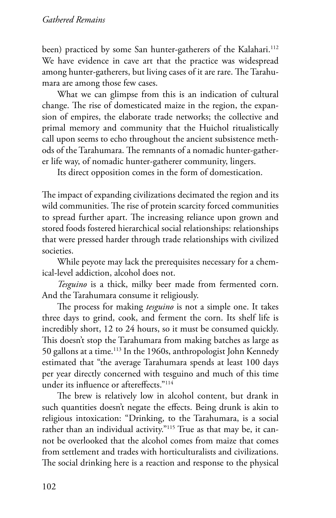been) practiced by some San hunter-gatherers of the Kalahari.<sup>112</sup> We have evidence in cave art that the practice was widespread among hunter-gatherers, but living cases of it are rare. The Tarahumara are among those few cases.

What we can glimpse from this is an indication of cultural change. The rise of domesticated maize in the region, the expansion of empires, the elaborate trade networks; the collective and primal memory and community that the Huichol ritualistically call upon seems to echo throughout the ancient subsistence methods of the Tarahumara. The remnants of a nomadic hunter-gatherer life way, of nomadic hunter-gatherer community, lingers.

Its direct opposition comes in the form of domestication.

The impact of expanding civilizations decimated the region and its wild communities. The rise of protein scarcity forced communities to spread further apart. The increasing reliance upon grown and stored foods fostered hierarchical social relationships: relationships that were pressed harder through trade relationships with civilized societies.

While peyote may lack the prerequisites necessary for a chemical-level addiction, alcohol does not.

*Tesguino* is a thick, milky beer made from fermented corn. And the Tarahumara consume it religiously.

The process for making *tesguino* is not a simple one. It takes three days to grind, cook, and ferment the corn. Its shelf life is incredibly short, 12 to 24 hours, so it must be consumed quickly. This doesn't stop the Tarahumara from making batches as large as 50 gallons at a time.113 In the 1960s, anthropologist John Kennedy estimated that "the average Tarahumara spends at least 100 days per year directly concerned with tesguino and much of this time under its influence or aftereffects."114

The brew is relatively low in alcohol content, but drank in such quantities doesn't negate the effects. Being drunk is akin to religious intoxication: "Drinking, to the Tarahumara, is a social rather than an individual activity."<sup>115</sup> True as that may be, it cannot be overlooked that the alcohol comes from maize that comes from settlement and trades with horticulturalists and civilizations. The social drinking here is a reaction and response to the physical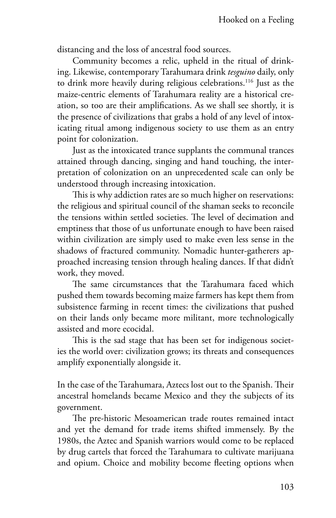distancing and the loss of ancestral food sources.

Community becomes a relic, upheld in the ritual of drinking. Likewise, contemporary Tarahumara drink *tesguino* daily, only to drink more heavily during religious celebrations.116 Just as the maize-centric elements of Tarahumara reality are a historical creation, so too are their amplifications. As we shall see shortly, it is the presence of civilizations that grabs a hold of any level of intoxicating ritual among indigenous society to use them as an entry point for colonization.

Just as the intoxicated trance supplants the communal trances attained through dancing, singing and hand touching, the interpretation of colonization on an unprecedented scale can only be understood through increasing intoxication.

This is why addiction rates are so much higher on reservations: the religious and spiritual council of the shaman seeks to reconcile the tensions within settled societies. The level of decimation and emptiness that those of us unfortunate enough to have been raised within civilization are simply used to make even less sense in the shadows of fractured community. Nomadic hunter-gatherers approached increasing tension through healing dances. If that didn't work, they moved.

The same circumstances that the Tarahumara faced which pushed them towards becoming maize farmers has kept them from subsistence farming in recent times: the civilizations that pushed on their lands only became more militant, more technologically assisted and more ecocidal.

This is the sad stage that has been set for indigenous societies the world over: civilization grows; its threats and consequences amplify exponentially alongside it.

In the case of the Tarahumara, Aztecs lost out to the Spanish. Their ancestral homelands became Mexico and they the subjects of its government.

The pre-historic Mesoamerican trade routes remained intact and yet the demand for trade items shifted immensely. By the 1980s, the Aztec and Spanish warriors would come to be replaced by drug cartels that forced the Tarahumara to cultivate marijuana and opium. Choice and mobility become fleeting options when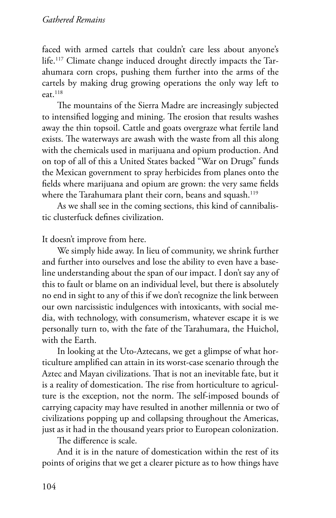faced with armed cartels that couldn't care less about anyone's life.117 Climate change induced drought directly impacts the Tarahumara corn crops, pushing them further into the arms of the cartels by making drug growing operations the only way left to eat. $118$ 

The mountains of the Sierra Madre are increasingly subjected to intensified logging and mining. The erosion that results washes away the thin topsoil. Cattle and goats overgraze what fertile land exists. The waterways are awash with the waste from all this along with the chemicals used in marijuana and opium production. And on top of all of this a United States backed "War on Drugs" funds the Mexican government to spray herbicides from planes onto the fields where marijuana and opium are grown: the very same fields where the Tarahumara plant their corn, beans and squash.<sup>119</sup>

As we shall see in the coming sections, this kind of cannibalistic clusterfuck defines civilization.

It doesn't improve from here.

We simply hide away. In lieu of community, we shrink further and further into ourselves and lose the ability to even have a baseline understanding about the span of our impact. I don't say any of this to fault or blame on an individual level, but there is absolutely no end in sight to any of this if we don't recognize the link between our own narcissistic indulgences with intoxicants, with social media, with technology, with consumerism, whatever escape it is we personally turn to, with the fate of the Tarahumara, the Huichol, with the Earth.

In looking at the Uto-Aztecans, we get a glimpse of what horticulture amplified can attain in its worst-case scenario through the Aztec and Mayan civilizations. That is not an inevitable fate, but it is a reality of domestication. The rise from horticulture to agriculture is the exception, not the norm. The self-imposed bounds of carrying capacity may have resulted in another millennia or two of civilizations popping up and collapsing throughout the Americas, just as it had in the thousand years prior to European colonization.

The difference is scale.

And it is in the nature of domestication within the rest of its points of origins that we get a clearer picture as to how things have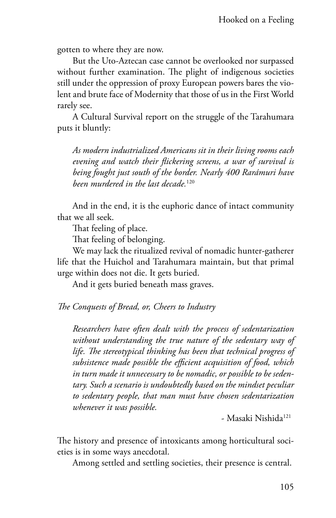gotten to where they are now.

But the Uto-Aztecan case cannot be overlooked nor surpassed without further examination. The plight of indigenous societies still under the oppression of proxy European powers bares the violent and brute face of Modernity that those of us in the First World rarely see.

A Cultural Survival report on the struggle of the Tarahumara puts it bluntly:

*As modern industrialized Americans sit in their living rooms each evening and watch their flickering screens, a war of survival is being fought just south of the border. Nearly 400 Rarámuri have been murdered in the last decade.*<sup>120</sup>

And in the end, it is the euphoric dance of intact community that we all seek.

That feeling of place.

That feeling of belonging.

We may lack the ritualized revival of nomadic hunter-gatherer life that the Huichol and Tarahumara maintain, but that primal urge within does not die. It gets buried.

And it gets buried beneath mass graves.

*The Conquests of Bread, or, Cheers to Industry*

*Researchers have often dealt with the process of sedentarization without understanding the true nature of the sedentary way of life. The stereotypical thinking has been that technical progress of subsistence made possible the efficient acquisition of food, which in turn made it unnecessary to be nomadic, or possible to be sedentary. Such a scenario is undoubtedly based on the mindset peculiar to sedentary people, that man must have chosen sedentarization whenever it was possible.*

- Masaki Nishida<sup>121</sup>

The history and presence of intoxicants among horticultural societies is in some ways anecdotal.

Among settled and settling societies, their presence is central.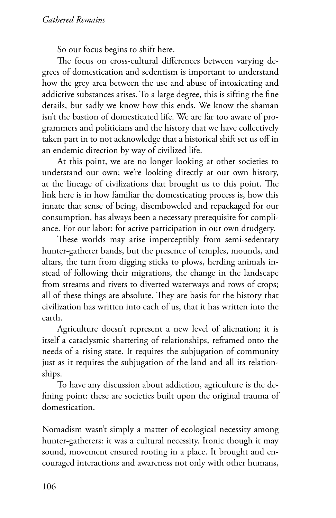So our focus begins to shift here.

The focus on cross-cultural differences between varying degrees of domestication and sedentism is important to understand how the grey area between the use and abuse of intoxicating and addictive substances arises. To a large degree, this is sifting the fine details, but sadly we know how this ends. We know the shaman isn't the bastion of domesticated life. We are far too aware of programmers and politicians and the history that we have collectively taken part in to not acknowledge that a historical shift set us off in an endemic direction by way of civilized life.

At this point, we are no longer looking at other societies to understand our own; we're looking directly at our own history, at the lineage of civilizations that brought us to this point. The link here is in how familiar the domesticating process is, how this innate that sense of being, disemboweled and repackaged for our consumption, has always been a necessary prerequisite for compliance. For our labor: for active participation in our own drudgery.

These worlds may arise imperceptibly from semi-sedentary hunter-gatherer bands, but the presence of temples, mounds, and altars, the turn from digging sticks to plows, herding animals instead of following their migrations, the change in the landscape from streams and rivers to diverted waterways and rows of crops; all of these things are absolute. They are basis for the history that civilization has written into each of us, that it has written into the earth.

Agriculture doesn't represent a new level of alienation; it is itself a cataclysmic shattering of relationships, reframed onto the needs of a rising state. It requires the subjugation of community just as it requires the subjugation of the land and all its relationships.

To have any discussion about addiction, agriculture is the defining point: these are societies built upon the original trauma of domestication.

Nomadism wasn't simply a matter of ecological necessity among hunter-gatherers: it was a cultural necessity. Ironic though it may sound, movement ensured rooting in a place. It brought and encouraged interactions and awareness not only with other humans,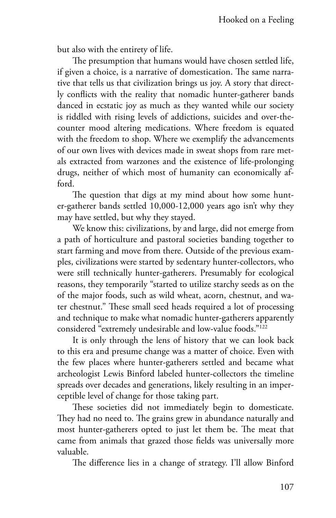but also with the entirety of life.

The presumption that humans would have chosen settled life, if given a choice, is a narrative of domestication. The same narrative that tells us that civilization brings us joy. A story that directly conflicts with the reality that nomadic hunter-gatherer bands danced in ecstatic joy as much as they wanted while our society is riddled with rising levels of addictions, suicides and over-thecounter mood altering medications. Where freedom is equated with the freedom to shop. Where we exemplify the advancements of our own lives with devices made in sweat shops from rare metals extracted from warzones and the existence of life-prolonging drugs, neither of which most of humanity can economically afford.

The question that digs at my mind about how some hunter-gatherer bands settled 10,000-12,000 years ago isn't why they may have settled, but why they stayed.

We know this: civilizations, by and large, did not emerge from a path of horticulture and pastoral societies banding together to start farming and move from there. Outside of the previous examples, civilizations were started by sedentary hunter-collectors, who were still technically hunter-gatherers. Presumably for ecological reasons, they temporarily "started to utilize starchy seeds as on the of the major foods, such as wild wheat, acorn, chestnut, and water chestnut." These small seed heads required a lot of processing and technique to make what nomadic hunter-gatherers apparently considered "extremely undesirable and low-value foods."122

It is only through the lens of history that we can look back to this era and presume change was a matter of choice. Even with the few places where hunter-gatherers settled and became what archeologist Lewis Binford labeled hunter-collectors the timeline spreads over decades and generations, likely resulting in an imperceptible level of change for those taking part.

These societies did not immediately begin to domesticate. They had no need to. The grains grew in abundance naturally and most hunter-gatherers opted to just let them be. The meat that came from animals that grazed those fields was universally more valuable.

The difference lies in a change of strategy. I'll allow Binford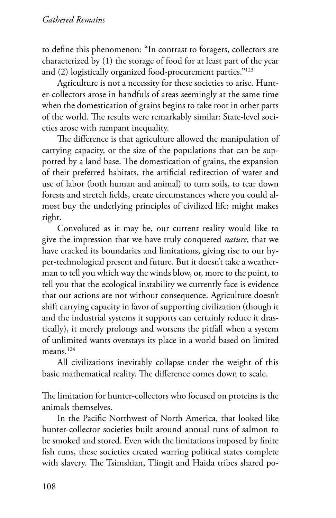to define this phenomenon: "In contrast to foragers, collectors are characterized by (1) the storage of food for at least part of the year and (2) logistically organized food-procurement parties."123

Agriculture is not a necessity for these societies to arise. Hunter-collectors arose in handfuls of areas seemingly at the same time when the domestication of grains begins to take root in other parts of the world. The results were remarkably similar: State-level societies arose with rampant inequality.

The difference is that agriculture allowed the manipulation of carrying capacity, or the size of the populations that can be supported by a land base. The domestication of grains, the expansion of their preferred habitats, the artificial redirection of water and use of labor (both human and animal) to turn soils, to tear down forests and stretch fields, create circumstances where you could almost buy the underlying principles of civilized life: might makes right.

Convoluted as it may be, our current reality would like to give the impression that we have truly conquered *nature*, that we have cracked its boundaries and limitations, giving rise to our hyper-technological present and future. But it doesn't take a weatherman to tell you which way the winds blow, or, more to the point, to tell you that the ecological instability we currently face is evidence that our actions are not without consequence. Agriculture doesn't shift carrying capacity in favor of supporting civilization (though it and the industrial systems it supports can certainly reduce it drastically), it merely prolongs and worsens the pitfall when a system of unlimited wants overstays its place in a world based on limited means.<sup>124</sup>

All civilizations inevitably collapse under the weight of this basic mathematical reality. The difference comes down to scale.

The limitation for hunter-collectors who focused on proteins is the animals themselves.

In the Pacific Northwest of North America, that looked like hunter-collector societies built around annual runs of salmon to be smoked and stored. Even with the limitations imposed by finite fish runs, these societies created warring political states complete with slavery. The Tsimshian, Tlingit and Haida tribes shared po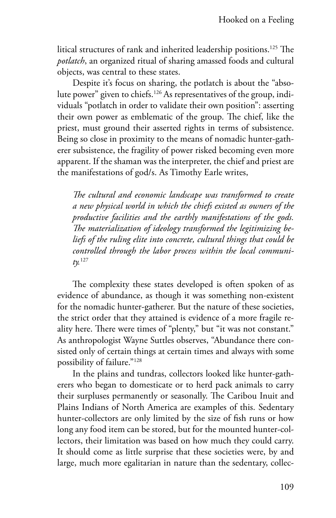litical structures of rank and inherited leadership positions.<sup>125</sup> The *potlatch*, an organized ritual of sharing amassed foods and cultural objects, was central to these states.

Despite it's focus on sharing, the potlatch is about the "absolute power" given to chiefs.126 As representatives of the group, individuals "potlatch in order to validate their own position": asserting their own power as emblematic of the group. The chief, like the priest, must ground their asserted rights in terms of subsistence. Being so close in proximity to the means of nomadic hunter-gatherer subsistence, the fragility of power risked becoming even more apparent. If the shaman was the interpreter, the chief and priest are the manifestations of god/s. As Timothy Earle writes,

*The cultural and economic landscape was transformed to create a new physical world in which the chiefs existed as owners of the productive facilities and the earthly manifestations of the gods. The materialization of ideology transformed the legitimizing beliefs of the ruling elite into concrete, cultural things that could be controlled through the labor process within the local community.*<sup>127</sup>

The complexity these states developed is often spoken of as evidence of abundance, as though it was something non-existent for the nomadic hunter-gatherer. But the nature of these societies, the strict order that they attained is evidence of a more fragile reality here. There were times of "plenty," but "it was not constant." As anthropologist Wayne Suttles observes, "Abundance there consisted only of certain things at certain times and always with some possibility of failure."128

In the plains and tundras, collectors looked like hunter-gatherers who began to domesticate or to herd pack animals to carry their surpluses permanently or seasonally. The Caribou Inuit and Plains Indians of North America are examples of this. Sedentary hunter-collectors are only limited by the size of fish runs or how long any food item can be stored, but for the mounted hunter-collectors, their limitation was based on how much they could carry. It should come as little surprise that these societies were, by and large, much more egalitarian in nature than the sedentary, collec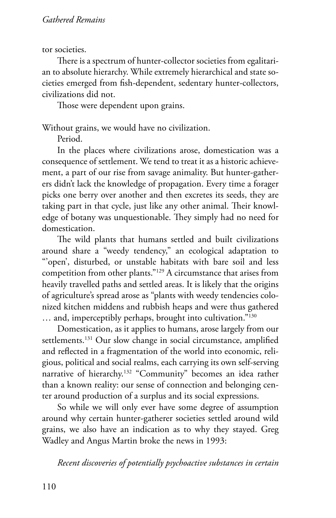tor societies.

There is a spectrum of hunter-collector societies from egalitarian to absolute hierarchy. While extremely hierarchical and state societies emerged from fish-dependent, sedentary hunter-collectors, civilizations did not.

Those were dependent upon grains.

Without grains, we would have no civilization.

Period.

In the places where civilizations arose, domestication was a consequence of settlement. We tend to treat it as a historic achievement, a part of our rise from savage animality. But hunter-gatherers didn't lack the knowledge of propagation. Every time a forager picks one berry over another and then excretes its seeds, they are taking part in that cycle, just like any other animal. Their knowledge of botany was unquestionable. They simply had no need for domestication.

The wild plants that humans settled and built civilizations around share a "weedy tendency," an ecological adaptation to "'open', disturbed, or unstable habitats with bare soil and less competition from other plants."129 A circumstance that arises from heavily travelled paths and settled areas. It is likely that the origins of agriculture's spread arose as "plants with weedy tendencies colonized kitchen middens and rubbish heaps and were thus gathered ... and, imperceptibly perhaps, brought into cultivation."<sup>130</sup>

Domestication, as it applies to humans, arose largely from our settlements.<sup>131</sup> Our slow change in social circumstance, amplified and reflected in a fragmentation of the world into economic, religious, political and social realms, each carrying its own self-serving narrative of hierarchy.132 "Community" becomes an idea rather than a known reality: our sense of connection and belonging center around production of a surplus and its social expressions.

So while we will only ever have some degree of assumption around why certain hunter-gatherer societies settled around wild grains, we also have an indication as to why they stayed. Greg Wadley and Angus Martin broke the news in 1993:

*Recent discoveries of potentially psychoactive substances in certain*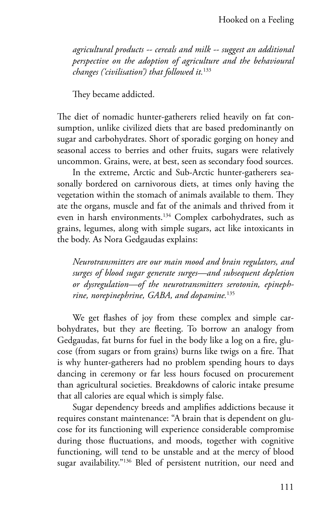*agricultural products -- cereals and milk -- suggest an additional perspective on the adoption of agriculture and the behavioural changes ('civilisation') that followed it.*<sup>133</sup>

They became addicted.

The diet of nomadic hunter-gatherers relied heavily on fat consumption, unlike civilized diets that are based predominantly on sugar and carbohydrates. Short of sporadic gorging on honey and seasonal access to berries and other fruits, sugars were relatively uncommon. Grains, were, at best, seen as secondary food sources.

In the extreme, Arctic and Sub-Arctic hunter-gatherers seasonally bordered on carnivorous diets, at times only having the vegetation within the stomach of animals available to them. They ate the organs, muscle and fat of the animals and thrived from it even in harsh environments.<sup>134</sup> Complex carbohydrates, such as grains, legumes, along with simple sugars, act like intoxicants in the body. As Nora Gedgaudas explains:

*Neurotransmitters are our main mood and brain regulators, and surges of blood sugar generate surges—and subsequent depletion or dysregulation—of the neurotransmitters serotonin, epinephrine, norepinephrine, GABA, and dopamine.*<sup>135</sup>

We get flashes of joy from these complex and simple carbohydrates, but they are fleeting. To borrow an analogy from Gedgaudas, fat burns for fuel in the body like a log on a fire, glucose (from sugars or from grains) burns like twigs on a fire. That is why hunter-gatherers had no problem spending hours to days dancing in ceremony or far less hours focused on procurement than agricultural societies. Breakdowns of caloric intake presume that all calories are equal which is simply false.

Sugar dependency breeds and amplifies addictions because it requires constant maintenance: "A brain that is dependent on glucose for its functioning will experience considerable compromise during those fluctuations, and moods, together with cognitive functioning, will tend to be unstable and at the mercy of blood sugar availability."136 Bled of persistent nutrition, our need and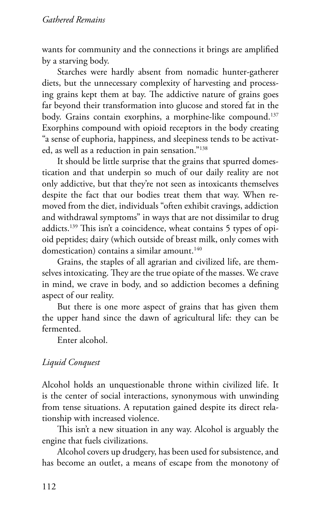wants for community and the connections it brings are amplified by a starving body.

Starches were hardly absent from nomadic hunter-gatherer diets, but the unnecessary complexity of harvesting and processing grains kept them at bay. The addictive nature of grains goes far beyond their transformation into glucose and stored fat in the body. Grains contain exorphins, a morphine-like compound.<sup>137</sup> Exorphins compound with opioid receptors in the body creating "a sense of euphoria, happiness, and sleepiness tends to be activated, as well as a reduction in pain sensation."138

It should be little surprise that the grains that spurred domestication and that underpin so much of our daily reality are not only addictive, but that they're not seen as intoxicants themselves despite the fact that our bodies treat them that way. When removed from the diet, individuals "often exhibit cravings, addiction and withdrawal symptoms" in ways that are not dissimilar to drug addicts.139 This isn't a coincidence, wheat contains 5 types of opioid peptides; dairy (which outside of breast milk, only comes with domestication) contains a similar amount.<sup>140</sup>

Grains, the staples of all agrarian and civilized life, are themselves intoxicating. They are the true opiate of the masses. We crave in mind, we crave in body, and so addiction becomes a defining aspect of our reality.

But there is one more aspect of grains that has given them the upper hand since the dawn of agricultural life: they can be fermented.

Enter alcohol.

# *Liquid Conquest*

Alcohol holds an unquestionable throne within civilized life. It is the center of social interactions, synonymous with unwinding from tense situations. A reputation gained despite its direct relationship with increased violence.

This isn't a new situation in any way. Alcohol is arguably the engine that fuels civilizations.

Alcohol covers up drudgery, has been used for subsistence, and has become an outlet, a means of escape from the monotony of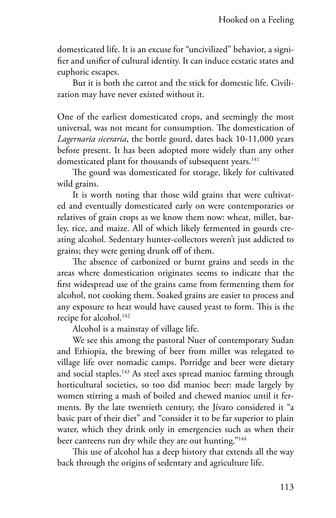domesticated life. It is an excuse for "uncivilized" behavior, a signifier and unifier of cultural identity. It can induce ecstatic states and euphoric escapes.

But it is both the carrot and the stick for domestic life. Civilization may have never existed without it.

One of the earliest domesticated crops, and seemingly the most universal, was not meant for consumption. The domestication of *Lagernaria siceraria*, the bottle gourd, dates back 10-11,000 years before present. It has been adopted more widely than any other domesticated plant for thousands of subsequent years.<sup>141</sup>

The gourd was domesticated for storage, likely for cultivated wild grains.

It is worth noting that those wild grains that were cultivated and eventually domesticated early on were contemporaries or relatives of grain crops as we know them now: wheat, millet, barley, rice, and maize. All of which likely fermented in gourds creating alcohol. Sedentary hunter-collectors weren't just addicted to grains; they were getting drunk off of them.

The absence of carbonized or burnt grains and seeds in the areas where domestication originates seems to indicate that the first widespread use of the grains came from fermenting them for alcohol, not cooking them. Soaked grains are easier to process and any exposure to heat would have caused yeast to form. This is the recipe for alcohol.<sup>142</sup>

Alcohol is a mainstay of village life.

We see this among the pastoral Nuer of contemporary Sudan and Ethiopia, the brewing of beer from millet was relegated to village life over nomadic camps. Porridge and beer were dietary and social staples.<sup>143</sup> As steel axes spread manioc farming through horticultural societies, so too did manioc beer: made largely by women stirring a mash of boiled and chewed manioc until it ferments. By the late twentieth century, the Jívaro considered it "a basic part of their diet" and "consider it to be far superior to plain water, which they drink only in emergencies such as when their beer canteens run dry while they are out hunting."<sup>144</sup>

This use of alcohol has a deep history that extends all the way back through the origins of sedentary and agriculture life.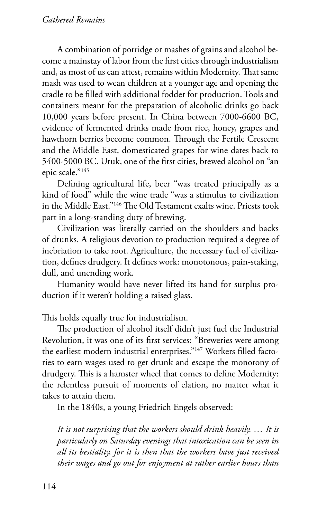# *Gathered Remains*

A combination of porridge or mashes of grains and alcohol become a mainstay of labor from the first cities through industrialism and, as most of us can attest, remains within Modernity. That same mash was used to wean children at a younger age and opening the cradle to be filled with additional fodder for production. Tools and containers meant for the preparation of alcoholic drinks go back 10,000 years before present. In China between 7000-6600 BC, evidence of fermented drinks made from rice, honey, grapes and hawthorn berries become common. Through the Fertile Crescent and the Middle East, domesticated grapes for wine dates back to 5400-5000 BC. Uruk, one of the first cities, brewed alcohol on "an epic scale."145

Defining agricultural life, beer "was treated principally as a kind of food" while the wine trade "was a stimulus to civilization in the Middle East."146 The Old Testament exalts wine. Priests took part in a long-standing duty of brewing.

Civilization was literally carried on the shoulders and backs of drunks. A religious devotion to production required a degree of inebriation to take root. Agriculture, the necessary fuel of civilization, defines drudgery. It defines work: monotonous, pain-staking, dull, and unending work.

Humanity would have never lifted its hand for surplus production if it weren't holding a raised glass.

This holds equally true for industrialism.

The production of alcohol itself didn't just fuel the Industrial Revolution, it was one of its first services: "Breweries were among the earliest modern industrial enterprises."<sup>147</sup> Workers filled factories to earn wages used to get drunk and escape the monotony of drudgery. This is a hamster wheel that comes to define Modernity: the relentless pursuit of moments of elation, no matter what it takes to attain them.

In the 1840s, a young Friedrich Engels observed:

*It is not surprising that the workers should drink heavily. … It is particularly on Saturday evenings that intoxication can be seen in all its bestiality, for it is then that the workers have just received their wages and go out for enjoyment at rather earlier hours than*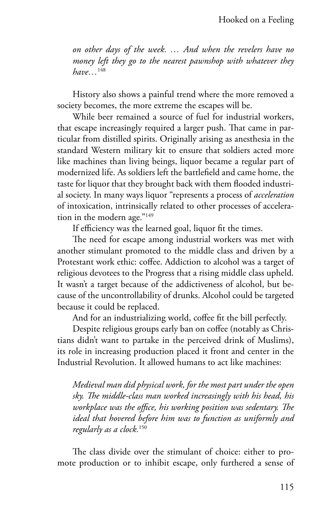*on other days of the week. … And when the revelers have no money left they go to the nearest pawnshop with whatever they have…*<sup>148</sup>

History also shows a painful trend where the more removed a society becomes, the more extreme the escapes will be.

While beer remained a source of fuel for industrial workers, that escape increasingly required a larger push. That came in particular from distilled spirits. Originally arising as anesthesia in the standard Western military kit to ensure that soldiers acted more like machines than living beings, liquor became a regular part of modernized life. As soldiers left the battlefield and came home, the taste for liquor that they brought back with them flooded industrial society. In many ways liquor "represents a process of *acceleration* of intoxication, intrinsically related to other processes of acceleration in the modern age."149

If efficiency was the learned goal, liquor fit the times.

The need for escape among industrial workers was met with another stimulant promoted to the middle class and driven by a Protestant work ethic: coffee. Addiction to alcohol was a target of religious devotees to the Progress that a rising middle class upheld. It wasn't a target because of the addictiveness of alcohol, but because of the uncontrollability of drunks. Alcohol could be targeted because it could be replaced.

And for an industrializing world, coffee fit the bill perfectly.

Despite religious groups early ban on coffee (notably as Christians didn't want to partake in the perceived drink of Muslims), its role in increasing production placed it front and center in the Industrial Revolution. It allowed humans to act like machines:

*Medieval man did physical work, for the most part under the open sky. The middle-class man worked increasingly with his head, his workplace was the office, his working position was sedentary. The ideal that hovered before him was to function as uniformly and regularly as a clock.*<sup>150</sup>

The class divide over the stimulant of choice: either to promote production or to inhibit escape, only furthered a sense of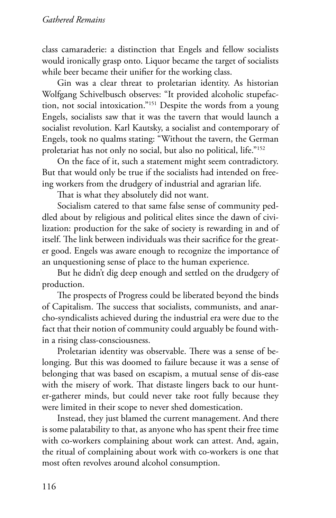class camaraderie: a distinction that Engels and fellow socialists would ironically grasp onto. Liquor became the target of socialists while beer became their unifier for the working class.

Gin was a clear threat to proletarian identity. As historian Wolfgang Schivelbusch observes: "It provided alcoholic stupefaction, not social intoxication."151 Despite the words from a young Engels, socialists saw that it was the tavern that would launch a socialist revolution. Karl Kautsky, a socialist and contemporary of Engels, took no qualms stating: "Without the tavern, the German proletariat has not only no social, but also no political, life."152

On the face of it, such a statement might seem contradictory. But that would only be true if the socialists had intended on freeing workers from the drudgery of industrial and agrarian life.

That is what they absolutely did not want.

Socialism catered to that same false sense of community peddled about by religious and political elites since the dawn of civilization: production for the sake of society is rewarding in and of itself. The link between individuals was their sacrifice for the greater good. Engels was aware enough to recognize the importance of an unquestioning sense of place to the human experience.

But he didn't dig deep enough and settled on the drudgery of production.

The prospects of Progress could be liberated beyond the binds of Capitalism. The success that socialists, communists, and anarcho-syndicalists achieved during the industrial era were due to the fact that their notion of community could arguably be found within a rising class-consciousness.

Proletarian identity was observable. There was a sense of belonging. But this was doomed to failure because it was a sense of belonging that was based on escapism, a mutual sense of dis-ease with the misery of work. That distaste lingers back to our hunter-gatherer minds, but could never take root fully because they were limited in their scope to never shed domestication.

Instead, they just blamed the current management. And there is some palatability to that, as anyone who has spent their free time with co-workers complaining about work can attest. And, again, the ritual of complaining about work with co-workers is one that most often revolves around alcohol consumption.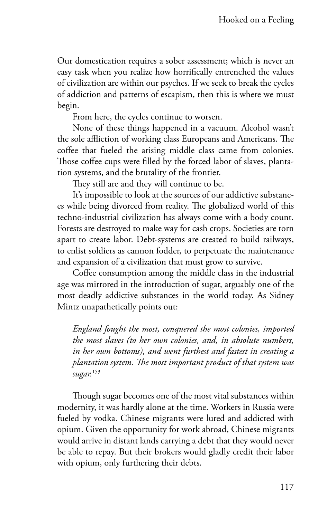Our domestication requires a sober assessment; which is never an easy task when you realize how horrifically entrenched the values of civilization are within our psyches. If we seek to break the cycles of addiction and patterns of escapism, then this is where we must begin.

From here, the cycles continue to worsen.

None of these things happened in a vacuum. Alcohol wasn't the sole affliction of working class Europeans and Americans. The coffee that fueled the arising middle class came from colonies. Those coffee cups were filled by the forced labor of slaves, plantation systems, and the brutality of the frontier.

They still are and they will continue to be.

It's impossible to look at the sources of our addictive substances while being divorced from reality. The globalized world of this techno-industrial civilization has always come with a body count. Forests are destroyed to make way for cash crops. Societies are torn apart to create labor. Debt-systems are created to build railways, to enlist soldiers as cannon fodder, to perpetuate the maintenance and expansion of a civilization that must grow to survive.

Coffee consumption among the middle class in the industrial age was mirrored in the introduction of sugar, arguably one of the most deadly addictive substances in the world today. As Sidney Mintz unapathetically points out:

*England fought the most, conquered the most colonies, imported the most slaves (to her own colonies, and, in absolute numbers, in her own bottoms), and went furthest and fastest in creating a plantation system. The most important product of that system was sugar.*<sup>153</sup>

Though sugar becomes one of the most vital substances within modernity, it was hardly alone at the time. Workers in Russia were fueled by vodka. Chinese migrants were lured and addicted with opium. Given the opportunity for work abroad, Chinese migrants would arrive in distant lands carrying a debt that they would never be able to repay. But their brokers would gladly credit their labor with opium, only furthering their debts.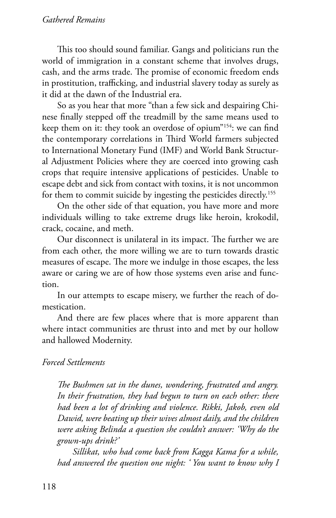## *Gathered Remains*

This too should sound familiar. Gangs and politicians run the world of immigration in a constant scheme that involves drugs, cash, and the arms trade. The promise of economic freedom ends in prostitution, trafficking, and industrial slavery today as surely as it did at the dawn of the Industrial era.

So as you hear that more "than a few sick and despairing Chinese finally stepped off the treadmill by the same means used to keep them on it: they took an overdose of opium"154: we can find the contemporary correlations in Third World farmers subjected to International Monetary Fund (IMF) and World Bank Structural Adjustment Policies where they are coerced into growing cash crops that require intensive applications of pesticides. Unable to escape debt and sick from contact with toxins, it is not uncommon for them to commit suicide by ingesting the pesticides directly.155

On the other side of that equation, you have more and more individuals willing to take extreme drugs like heroin, krokodil, crack, cocaine, and meth.

Our disconnect is unilateral in its impact. The further we are from each other, the more willing we are to turn towards drastic measures of escape. The more we indulge in those escapes, the less aware or caring we are of how those systems even arise and function.

In our attempts to escape misery, we further the reach of domestication.

And there are few places where that is more apparent than where intact communities are thrust into and met by our hollow and hallowed Modernity.

#### *Forced Settlements*

*The Bushmen sat in the dunes, wondering, frustrated and angry. In their frustration, they had begun to turn on each other: there had been a lot of drinking and violence. Rikki, Jakob, even old Dawid, were beating up their wives almost daily, and the children were asking Belinda a question she couldn't answer: 'Why do the grown-ups drink?'*

*Sillikat, who had come back from Kagga Kama for a while, had answered the question one night: ' You want to know why I*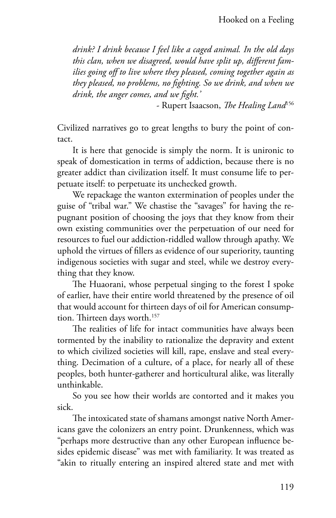*drink? I drink because I feel like a caged animal. In the old days this clan, when we disagreed, would have split up, different families going off to live where they pleased, coming together again as they pleased, no problems, no fighting. So we drink, and when we drink, the anger comes, and we fight.'*

- Rupert Isaacson, *The Healing Land*<sup>156</sup>

Civilized narratives go to great lengths to bury the point of contact.

It is here that genocide is simply the norm. It is unironic to speak of domestication in terms of addiction, because there is no greater addict than civilization itself. It must consume life to perpetuate itself: to perpetuate its unchecked growth.

We repackage the wanton extermination of peoples under the guise of "tribal war." We chastise the "savages" for having the repugnant position of choosing the joys that they know from their own existing communities over the perpetuation of our need for resources to fuel our addiction-riddled wallow through apathy. We uphold the virtues of fillers as evidence of our superiority, taunting indigenous societies with sugar and steel, while we destroy everything that they know.

The Huaorani, whose perpetual singing to the forest I spoke of earlier, have their entire world threatened by the presence of oil that would account for thirteen days of oil for American consumption. Thirteen days worth.<sup>157</sup>

The realities of life for intact communities have always been tormented by the inability to rationalize the depravity and extent to which civilized societies will kill, rape, enslave and steal everything. Decimation of a culture, of a place, for nearly all of these peoples, both hunter-gatherer and horticultural alike, was literally unthinkable.

So you see how their worlds are contorted and it makes you sick.

The intoxicated state of shamans amongst native North Americans gave the colonizers an entry point. Drunkenness, which was "perhaps more destructive than any other European influence besides epidemic disease" was met with familiarity. It was treated as "akin to ritually entering an inspired altered state and met with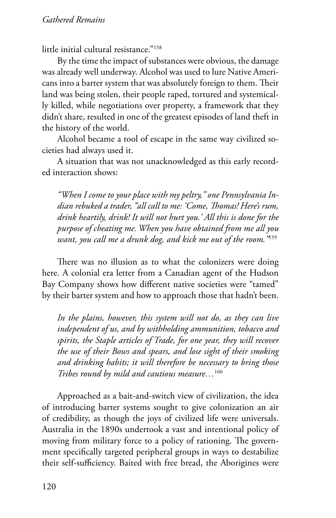## *Gathered Remains*

little initial cultural resistance."158

By the time the impact of substances were obvious, the damage was already well underway. Alcohol was used to lure Native Americans into a barter system that was absolutely foreign to them. Their land was being stolen, their people raped, tortured and systemically killed, while negotiations over property, a framework that they didn't share, resulted in one of the greatest episodes of land theft in the history of the world.

Alcohol became a tool of escape in the same way civilized societies had always used it.

A situation that was not unacknowledged as this early recorded interaction shows:

*"When I come to your place with my peltry," one Pennsylvania Indian rebuked a trader, "all call to me: 'Come, Thomas! Here's rum, drink heartily, drink! It will not hurt you.' All this is done for the purpose of cheating me. When you have obtained from me all you want, you call me a drunk dog, and kick me out of the room."*<sup>159</sup>

There was no illusion as to what the colonizers were doing here. A colonial era letter from a Canadian agent of the Hudson Bay Company shows how different native societies were "tamed" by their barter system and how to approach those that hadn't been.

*In the plains, however, this system will not do, as they can live independent of us, and by withholding ammunition, tobacco and spirits, the Staple articles of Trade, for one year, they will recover the use of their Bows and spears, and lose sight of their smoking and drinking habits; it will therefore be necessary to bring those Tribes round by mild and cautious measure…*<sup>160</sup>

Approached as a bait-and-switch view of civilization, the idea of introducing barter systems sought to give colonization an air of credibility, as though the joys of civilized life were universals. Australia in the 1890s undertook a vast and intentional policy of moving from military force to a policy of rationing. The government specifically targeted peripheral groups in ways to destabilize their self-sufficiency. Baited with free bread, the Aborigines were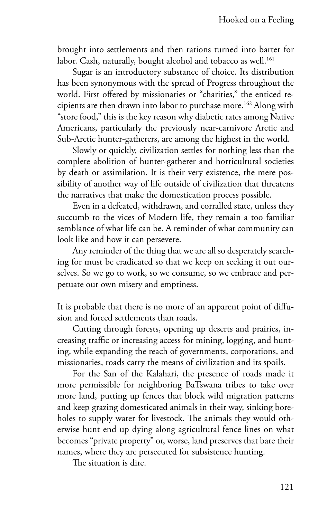brought into settlements and then rations turned into barter for labor. Cash, naturally, bought alcohol and tobacco as well.<sup>161</sup>

Sugar is an introductory substance of choice. Its distribution has been synonymous with the spread of Progress throughout the world. First offered by missionaries or "charities," the enticed recipients are then drawn into labor to purchase more.<sup>162</sup> Along with "store food," this is the key reason why diabetic rates among Native Americans, particularly the previously near-carnivore Arctic and Sub-Arctic hunter-gatherers, are among the highest in the world.

Slowly or quickly, civilization settles for nothing less than the complete abolition of hunter-gatherer and horticultural societies by death or assimilation. It is their very existence, the mere possibility of another way of life outside of civilization that threatens the narratives that make the domestication process possible.

Even in a defeated, withdrawn, and corralled state, unless they succumb to the vices of Modern life, they remain a too familiar semblance of what life can be. A reminder of what community can look like and how it can persevere.

Any reminder of the thing that we are all so desperately searching for must be eradicated so that we keep on seeking it out ourselves. So we go to work, so we consume, so we embrace and perpetuate our own misery and emptiness.

It is probable that there is no more of an apparent point of diffusion and forced settlements than roads.

Cutting through forests, opening up deserts and prairies, increasing traffic or increasing access for mining, logging, and hunting, while expanding the reach of governments, corporations, and missionaries, roads carry the means of civilization and its spoils.

For the San of the Kalahari, the presence of roads made it more permissible for neighboring BaTswana tribes to take over more land, putting up fences that block wild migration patterns and keep grazing domesticated animals in their way, sinking boreholes to supply water for livestock. The animals they would otherwise hunt end up dying along agricultural fence lines on what becomes "private property" or, worse, land preserves that bare their names, where they are persecuted for subsistence hunting.

The situation is dire.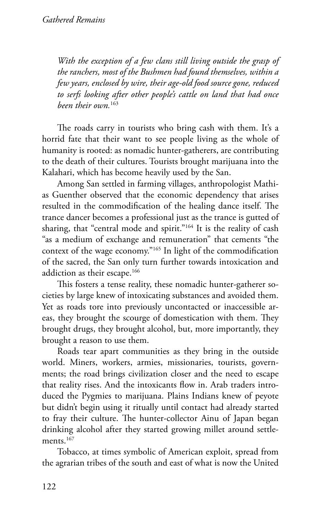*With the exception of a few clans still living outside the grasp of the ranchers, most of the Bushmen had found themselves, within a few years, enclosed by wire, their age-old food source gone, reduced to serfs looking after other people's cattle on land that had once been their own.*<sup>163</sup>

The roads carry in tourists who bring cash with them. It's a horrid fate that their want to see people living as the whole of humanity is rooted: as nomadic hunter-gatherers, are contributing to the death of their cultures. Tourists brought marijuana into the Kalahari, which has become heavily used by the San.

Among San settled in farming villages, anthropologist Mathias Guenther observed that the economic dependency that arises resulted in the commodification of the healing dance itself. The trance dancer becomes a professional just as the trance is gutted of sharing, that "central mode and spirit."<sup>164</sup> It is the reality of cash "as a medium of exchange and remuneration" that cements "the context of the wage economy."165 In light of the commodification of the sacred, the San only turn further towards intoxication and addiction as their escape.<sup>166</sup>

This fosters a tense reality, these nomadic hunter-gatherer societies by large knew of intoxicating substances and avoided them. Yet as roads tore into previously uncontacted or inaccessible areas, they brought the scourge of domestication with them. They brought drugs, they brought alcohol, but, more importantly, they brought a reason to use them.

Roads tear apart communities as they bring in the outside world. Miners, workers, armies, missionaries, tourists, governments; the road brings civilization closer and the need to escape that reality rises. And the intoxicants flow in. Arab traders introduced the Pygmies to marijuana. Plains Indians knew of peyote but didn't begin using it ritually until contact had already started to fray their culture. The hunter-collector Ainu of Japan began drinking alcohol after they started growing millet around settlements.<sup>167</sup>

Tobacco, at times symbolic of American exploit, spread from the agrarian tribes of the south and east of what is now the United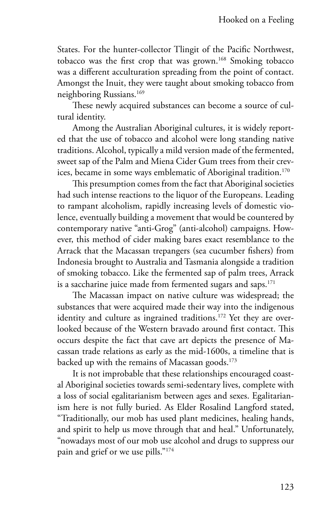States. For the hunter-collector Tlingit of the Pacific Northwest, tobacco was the first crop that was grown.168 Smoking tobacco was a different acculturation spreading from the point of contact. Amongst the Inuit, they were taught about smoking tobacco from neighboring Russians.169

These newly acquired substances can become a source of cultural identity.

Among the Australian Aboriginal cultures, it is widely reported that the use of tobacco and alcohol were long standing native traditions. Alcohol, typically a mild version made of the fermented, sweet sap of the Palm and Miena Cider Gum trees from their crevices, became in some ways emblematic of Aboriginal tradition.<sup>170</sup>

This presumption comes from the fact that Aboriginal societies had such intense reactions to the liquor of the Europeans. Leading to rampant alcoholism, rapidly increasing levels of domestic violence, eventually building a movement that would be countered by contemporary native "anti-Grog" (anti-alcohol) campaigns. However, this method of cider making bares exact resemblance to the Arrack that the Macassan trepangers (sea cucumber fishers) from Indonesia brought to Australia and Tasmania alongside a tradition of smoking tobacco. Like the fermented sap of palm trees, Arrack is a saccharine juice made from fermented sugars and saps.<sup>171</sup>

The Macassan impact on native culture was widespread; the substances that were acquired made their way into the indigenous identity and culture as ingrained traditions.<sup>172</sup> Yet they are overlooked because of the Western bravado around first contact. This occurs despite the fact that cave art depicts the presence of Macassan trade relations as early as the mid-1600s, a timeline that is backed up with the remains of Macassan goods.<sup>173</sup>

It is not improbable that these relationships encouraged coastal Aboriginal societies towards semi-sedentary lives, complete with a loss of social egalitarianism between ages and sexes. Egalitarianism here is not fully buried. As Elder Rosalind Langford stated, "Traditionally, our mob has used plant medicines, healing hands, and spirit to help us move through that and heal." Unfortunately, "nowadays most of our mob use alcohol and drugs to suppress our pain and grief or we use pills."174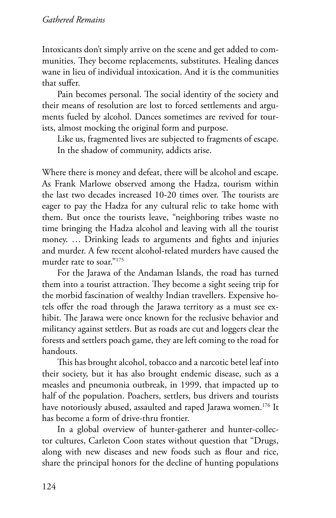Intoxicants don't simply arrive on the scene and get added to communities. They become replacements, substitutes. Healing dances wane in lieu of individual intoxication. And it is the communities that suffer.

Pain becomes personal. The social identity of the society and their means of resolution are lost to forced settlements and arguments fueled by alcohol. Dances sometimes are revived for tourists, almost mocking the original form and purpose.

Like us, fragmented lives are subjected to fragments of escape. In the shadow of community, addicts arise.

Where there is money and defeat, there will be alcohol and escape. As Frank Marlowe observed among the Hadza, tourism within the last two decades increased 10-20 times over. The tourists are eager to pay the Hadza for any cultural relic to take home with them. But once the tourists leave, "neighboring tribes waste no time bringing the Hadza alcohol and leaving with all the tourist money. … Drinking leads to arguments and fights and injuries and murder. A few recent alcohol-related murders have caused the murder rate to soar."175

For the Jarawa of the Andaman Islands, the road has turned them into a tourist attraction. They become a sight seeing trip for the morbid fascination of wealthy Indian travellers. Expensive hotels offer the road through the Jarawa territory as a must see exhibit. The Jarawa were once known for the reclusive behavior and militancy against settlers. But as roads are cut and loggers clear the forests and settlers poach game, they are left coming to the road for handouts.

This has brought alcohol, tobacco and a narcotic betel leaf into their society, but it has also brought endemic disease, such as a measles and pneumonia outbreak, in 1999, that impacted up to half of the population. Poachers, settlers, bus drivers and tourists have notoriously abused, assaulted and raped Jarawa women.<sup>176</sup> It has become a form of drive-thru frontier.

In a global overview of hunter-gatherer and hunter-collector cultures, Carleton Coon states without question that "Drugs, along with new diseases and new foods such as flour and rice, share the principal honors for the decline of hunting populations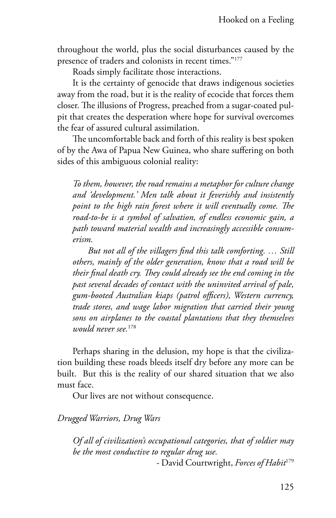throughout the world, plus the social disturbances caused by the presence of traders and colonists in recent times."177

Roads simply facilitate those interactions.

It is the certainty of genocide that draws indigenous societies away from the road, but it is the reality of ecocide that forces them closer. The illusions of Progress, preached from a sugar-coated pulpit that creates the desperation where hope for survival overcomes the fear of assured cultural assimilation.

The uncomfortable back and forth of this reality is best spoken of by the Awa of Papua New Guinea, who share suffering on both sides of this ambiguous colonial reality:

*To them, however, the road remains a metaphor for culture change and 'development.' Men talk about it feverishly and insistently point to the high rain forest where it will eventually come. The road-to-be is a symbol of salvation, of endless economic gain, a path toward material wealth and increasingly accessible consumerism.*

*But not all of the villagers find this talk comforting. … Still others, mainly of the older generation, know that a road will be their final death cry. They could already see the end coming in the past several decades of contact with the uninvited arrival of pale, gum-booted Australian kiaps (patrol officers), Western currency, trade stores, and wage labor migration that carried their young sons on airplanes to the coastal plantations that they themselves would never see.*<sup>178</sup>

Perhaps sharing in the delusion, my hope is that the civilization building these roads bleeds itself dry before any more can be built. But this is the reality of our shared situation that we also must face.

Our lives are not without consequence.

*Drugged Warriors, Drug Wars*

*Of all of civilization's occupational categories, that of soldier may be the most conductive to regular drug use.*

- David Courtwright, *Forces of Habit*179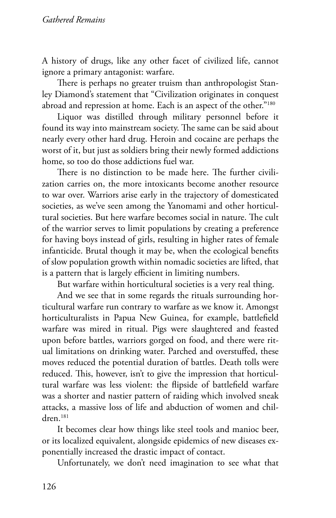A history of drugs, like any other facet of civilized life, cannot ignore a primary antagonist: warfare.

There is perhaps no greater truism than anthropologist Stanley Diamond's statement that "Civilization originates in conquest abroad and repression at home. Each is an aspect of the other."180

Liquor was distilled through military personnel before it found its way into mainstream society. The same can be said about nearly every other hard drug. Heroin and cocaine are perhaps the worst of it, but just as soldiers bring their newly formed addictions home, so too do those addictions fuel war.

There is no distinction to be made here. The further civilization carries on, the more intoxicants become another resource to war over. Warriors arise early in the trajectory of domesticated societies, as we've seen among the Yanomami and other horticultural societies. But here warfare becomes social in nature. The cult of the warrior serves to limit populations by creating a preference for having boys instead of girls, resulting in higher rates of female infanticide. Brutal though it may be, when the ecological benefits of slow population growth within nomadic societies are lifted, that is a pattern that is largely efficient in limiting numbers.

But warfare within horticultural societies is a very real thing.

And we see that in some regards the rituals surrounding horticultural warfare run contrary to warfare as we know it. Amongst horticulturalists in Papua New Guinea, for example, battlefield warfare was mired in ritual. Pigs were slaughtered and feasted upon before battles, warriors gorged on food, and there were ritual limitations on drinking water. Parched and overstuffed, these moves reduced the potential duration of battles. Death tolls were reduced. This, however, isn't to give the impression that horticultural warfare was less violent: the flipside of battlefield warfare was a shorter and nastier pattern of raiding which involved sneak attacks, a massive loss of life and abduction of women and children<sup>181</sup>

It becomes clear how things like steel tools and manioc beer, or its localized equivalent, alongside epidemics of new diseases exponentially increased the drastic impact of contact.

Unfortunately, we don't need imagination to see what that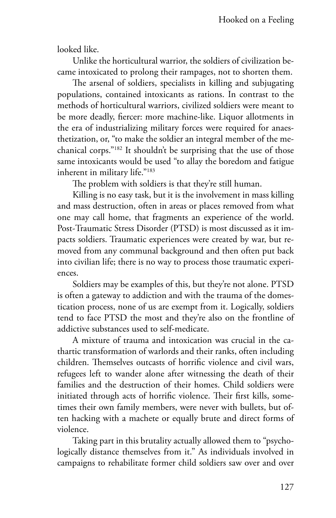looked like.

Unlike the horticultural warrior, the soldiers of civilization became intoxicated to prolong their rampages, not to shorten them.

The arsenal of soldiers, specialists in killing and subjugating populations, contained intoxicants as rations. In contrast to the methods of horticultural warriors, civilized soldiers were meant to be more deadly, fiercer: more machine-like. Liquor allotments in the era of industrializing military forces were required for anaesthetization, or, "to make the soldier an integral member of the mechanical corps."182 It shouldn't be surprising that the use of those same intoxicants would be used "to allay the boredom and fatigue inherent in military life."<sup>183</sup>

The problem with soldiers is that they're still human.

Killing is no easy task, but it is the involvement in mass killing and mass destruction, often in areas or places removed from what one may call home, that fragments an experience of the world. Post-Traumatic Stress Disorder (PTSD) is most discussed as it impacts soldiers. Traumatic experiences were created by war, but removed from any communal background and then often put back into civilian life; there is no way to process those traumatic experiences.

Soldiers may be examples of this, but they're not alone. PTSD is often a gateway to addiction and with the trauma of the domestication process, none of us are exempt from it. Logically, soldiers tend to face PTSD the most and they're also on the frontline of addictive substances used to self-medicate.

A mixture of trauma and intoxication was crucial in the cathartic transformation of warlords and their ranks, often including children. Themselves outcasts of horrific violence and civil wars, refugees left to wander alone after witnessing the death of their families and the destruction of their homes. Child soldiers were initiated through acts of horrific violence. Their first kills, sometimes their own family members, were never with bullets, but often hacking with a machete or equally brute and direct forms of violence.

Taking part in this brutality actually allowed them to "psychologically distance themselves from it." As individuals involved in campaigns to rehabilitate former child soldiers saw over and over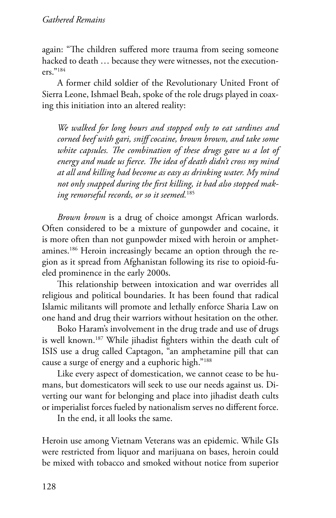again: "The children suffered more trauma from seeing someone hacked to death … because they were witnesses, not the executioners."184

A former child soldier of the Revolutionary United Front of Sierra Leone, Ishmael Beah, spoke of the role drugs played in coaxing this initiation into an altered reality:

*We walked for long hours and stopped only to eat sardines and corned beef with gari, sniff cocaine, brown brown, and take some white capsules. The combination of these drugs gave us a lot of energy and made us fierce. The idea of death didn't cross my mind at all and killing had become as easy as drinking water. My mind not only snapped during the first killing, it had also stopped making remorseful records, or so it seemed.*<sup>185</sup>

*Brown brown* is a drug of choice amongst African warlords. Often considered to be a mixture of gunpowder and cocaine, it is more often than not gunpowder mixed with heroin or amphetamines.186 Heroin increasingly became an option through the region as it spread from Afghanistan following its rise to opioid-fueled prominence in the early 2000s.

This relationship between intoxication and war overrides all religious and political boundaries. It has been found that radical Islamic militants will promote and lethally enforce Sharia Law on one hand and drug their warriors without hesitation on the other.

Boko Haram's involvement in the drug trade and use of drugs is well known.<sup>187</sup> While jihadist fighters within the death cult of ISIS use a drug called Captagon, "an amphetamine pill that can cause a surge of energy and a euphoric high."188

Like every aspect of domestication, we cannot cease to be humans, but domesticators will seek to use our needs against us. Diverting our want for belonging and place into jihadist death cults or imperialist forces fueled by nationalism serves no different force.

In the end, it all looks the same.

Heroin use among Vietnam Veterans was an epidemic. While GIs were restricted from liquor and marijuana on bases, heroin could be mixed with tobacco and smoked without notice from superior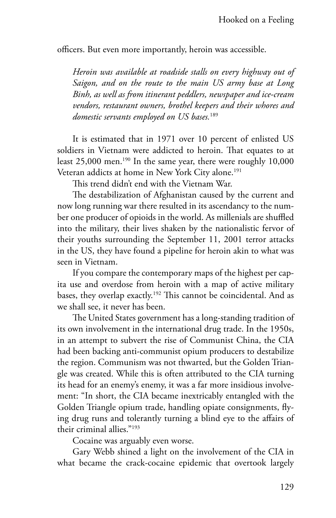officers. But even more importantly, heroin was accessible.

*Heroin was available at roadside stalls on every highway out of Saigon, and on the route to the main US army base at Long Binh, as well as from itinerant peddlers, newspaper and ice-cream vendors, restaurant owners, brothel keepers and their whores and domestic servants employed on US bases.*<sup>189</sup>

It is estimated that in 1971 over 10 percent of enlisted US soldiers in Vietnam were addicted to heroin. That equates to at least 25,000 men.<sup>190</sup> In the same year, there were roughly 10,000 Veteran addicts at home in New York City alone.<sup>191</sup>

This trend didn't end with the Vietnam War.

The destabilization of Afghanistan caused by the current and now long running war there resulted in its ascendancy to the number one producer of opioids in the world. As millenials are shuffled into the military, their lives shaken by the nationalistic fervor of their youths surrounding the September 11, 2001 terror attacks in the US, they have found a pipeline for heroin akin to what was seen in Vietnam.

If you compare the contemporary maps of the highest per capita use and overdose from heroin with a map of active military bases, they overlap exactly.192 This cannot be coincidental. And as we shall see, it never has been.

The United States government has a long-standing tradition of its own involvement in the international drug trade. In the 1950s, in an attempt to subvert the rise of Communist China, the CIA had been backing anti-communist opium producers to destabilize the region. Communism was not thwarted, but the Golden Triangle was created. While this is often attributed to the CIA turning its head for an enemy's enemy, it was a far more insidious involvement: "In short, the CIA became inextricably entangled with the Golden Triangle opium trade, handling opiate consignments, flying drug runs and tolerantly turning a blind eye to the affairs of their criminal allies."193

Cocaine was arguably even worse.

Gary Webb shined a light on the involvement of the CIA in what became the crack-cocaine epidemic that overtook largely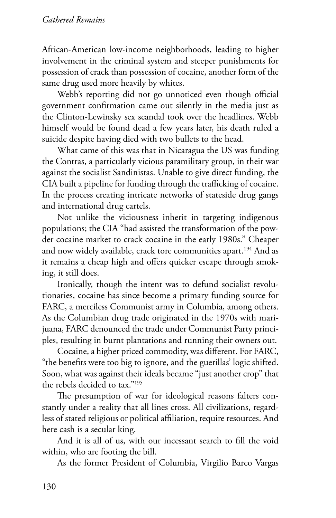African-American low-income neighborhoods, leading to higher involvement in the criminal system and steeper punishments for possession of crack than possession of cocaine, another form of the same drug used more heavily by whites.

Webb's reporting did not go unnoticed even though official government confirmation came out silently in the media just as the Clinton-Lewinsky sex scandal took over the headlines. Webb himself would be found dead a few years later, his death ruled a suicide despite having died with two bullets to the head.

What came of this was that in Nicaragua the US was funding the Contras, a particularly vicious paramilitary group, in their war against the socialist Sandinistas. Unable to give direct funding, the CIA built a pipeline for funding through the trafficking of cocaine. In the process creating intricate networks of stateside drug gangs and international drug cartels.

Not unlike the viciousness inherit in targeting indigenous populations; the CIA "had assisted the transformation of the powder cocaine market to crack cocaine in the early 1980s." Cheaper and now widely available, crack tore communities apart.<sup>194</sup> And as it remains a cheap high and offers quicker escape through smoking, it still does.

Ironically, though the intent was to defund socialist revolutionaries, cocaine has since become a primary funding source for FARC, a merciless Communist army in Columbia, among others. As the Columbian drug trade originated in the 1970s with marijuana, FARC denounced the trade under Communist Party principles, resulting in burnt plantations and running their owners out.

Cocaine, a higher priced commodity, was different. For FARC, "the benefits were too big to ignore, and the guerillas' logic shifted. Soon, what was against their ideals became "just another crop" that the rebels decided to tax."195

The presumption of war for ideological reasons falters constantly under a reality that all lines cross. All civilizations, regardless of stated religious or political affiliation, require resources. And here cash is a secular king.

And it is all of us, with our incessant search to fill the void within, who are footing the bill.

As the former President of Columbia, Virgilio Barco Vargas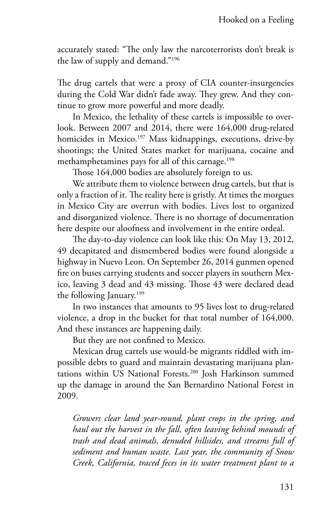accurately stated: "The only law the narcoterrorists don't break is the law of supply and demand."196

The drug cartels that were a proxy of CIA counter-insurgencies during the Cold War didn't fade away. They grew. And they continue to grow more powerful and more deadly.

In Mexico, the lethality of these cartels is impossible to overlook. Between 2007 and 2014, there were 164,000 drug-related homicides in Mexico.<sup>197</sup> Mass kidnappings, executions, drive-by shootings; the United States market for marijuana, cocaine and methamphetamines pays for all of this carnage.<sup>198</sup>

Those 164,000 bodies are absolutely foreign to us.

We attribute them to violence between drug cartels, but that is only a fraction of it. The reality here is gristly. At times the morgues in Mexico City are overrun with bodies. Lives lost to organized and disorganized violence. There is no shortage of documentation here despite our aloofness and involvement in the entire ordeal.

The day-to-day violence can look like this: On May 13, 2012, 49 decapitated and dismembered bodies were found alongside a highway in Nuevo Leon. On September 26, 2014 gunmen opened fire on buses carrying students and soccer players in southern Mexico, leaving 3 dead and 43 missing. Those 43 were declared dead the following January.<sup>199</sup>

In two instances that amounts to 95 lives lost to drug-related violence, a drop in the bucket for that total number of 164,000. And these instances are happening daily.

But they are not confined to Mexico.

Mexican drug cartels use would-be migrants riddled with impossible debts to guard and maintain devastating marijuana plantations within US National Forests.200 Josh Harkinson summed up the damage in around the San Bernardino National Forest in 2009.

*Growers clear land year-round, plant crops in the spring, and haul out the harvest in the fall, often leaving behind mounds of trash and dead animals, denuded hillsides, and streams full of sediment and human waste. Last year, the community of Snow Creek, California, traced feces in its water treatment plant to a*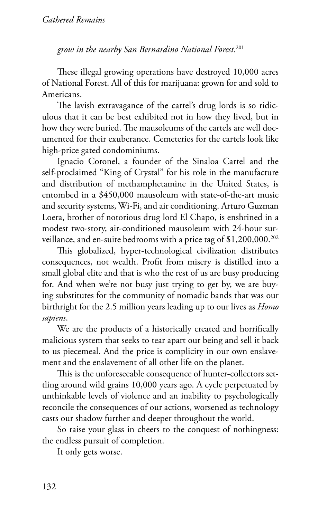*grow in the nearby San Bernardino National Forest.*<sup>201</sup>

These illegal growing operations have destroyed 10,000 acres of National Forest. All of this for marijuana: grown for and sold to Americans.

The lavish extravagance of the cartel's drug lords is so ridiculous that it can be best exhibited not in how they lived, but in how they were buried. The mausoleums of the cartels are well documented for their exuberance. Cemeteries for the cartels look like high-price gated condominiums.

Ignacio Coronel, a founder of the Sinaloa Cartel and the self-proclaimed "King of Crystal" for his role in the manufacture and distribution of methamphetamine in the United States, is entombed in a \$450,000 mausoleum with state-of-the-art music and security systems, Wi-Fi, and air conditioning. Arturo Guzman Loera, brother of notorious drug lord El Chapo, is enshrined in a modest two-story, air-conditioned mausoleum with 24-hour surveillance, and en-suite bedrooms with a price tag of \$1,200,000.<sup>202</sup>

This globalized, hyper-technological civilization distributes consequences, not wealth. Profit from misery is distilled into a small global elite and that is who the rest of us are busy producing for. And when we're not busy just trying to get by, we are buying substitutes for the community of nomadic bands that was our birthright for the 2.5 million years leading up to our lives as *Homo sapiens*.

We are the products of a historically created and horrifically malicious system that seeks to tear apart our being and sell it back to us piecemeal. And the price is complicity in our own enslavement and the enslavement of all other life on the planet.

This is the unforeseeable consequence of hunter-collectors settling around wild grains 10,000 years ago. A cycle perpetuated by unthinkable levels of violence and an inability to psychologically reconcile the consequences of our actions, worsened as technology casts our shadow further and deeper throughout the world.

So raise your glass in cheers to the conquest of nothingness: the endless pursuit of completion.

It only gets worse.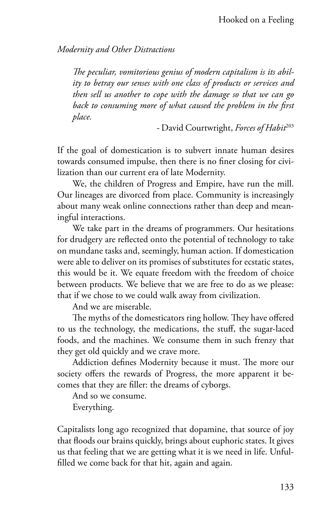*Modernity and Other Distractions*

*The peculiar, vomitorious genius of modern capitalism is its ability to betray our senses with one class of products or services and then sell us another to cope with the damage so that we can go back to consuming more of what caused the problem in the first place.*

*-* David Courtwright, *Forces of Habit*<sup>203</sup>

If the goal of domestication is to subvert innate human desires towards consumed impulse, then there is no finer closing for civilization than our current era of late Modernity.

We, the children of Progress and Empire, have run the mill. Our lineages are divorced from place. Community is increasingly about many weak online connections rather than deep and meaningful interactions.

We take part in the dreams of programmers. Our hesitations for drudgery are reflected onto the potential of technology to take on mundane tasks and, seemingly, human action. If domestication were able to deliver on its promises of substitutes for ecstatic states, this would be it. We equate freedom with the freedom of choice between products. We believe that we are free to do as we please: that if we chose to we could walk away from civilization.

And we are miserable.

The myths of the domesticators ring hollow. They have offered to us the technology, the medications, the stuff, the sugar-laced foods, and the machines. We consume them in such frenzy that they get old quickly and we crave more.

Addiction defines Modernity because it must. The more our society offers the rewards of Progress, the more apparent it becomes that they are filler: the dreams of cyborgs.

And so we consume. Everything.

Capitalists long ago recognized that dopamine, that source of joy that floods our brains quickly, brings about euphoric states. It gives us that feeling that we are getting what it is we need in life. Unfulfilled we come back for that hit, again and again.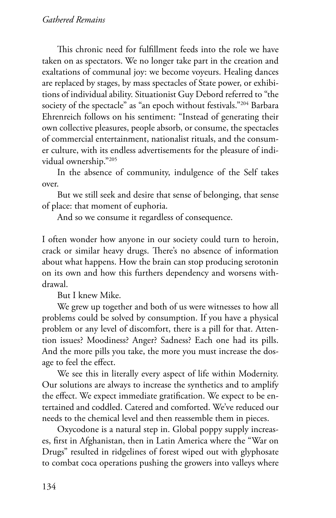# *Gathered Remains*

This chronic need for fulfillment feeds into the role we have taken on as spectators. We no longer take part in the creation and exaltations of communal joy: we become voyeurs. Healing dances are replaced by stages, by mass spectacles of State power, or exhibitions of individual ability. Situationist Guy Debord referred to "the society of the spectacle" as "an epoch without festivals."<sup>204</sup> Barbara Ehrenreich follows on his sentiment: "Instead of generating their own collective pleasures, people absorb, or consume, the spectacles of commercial entertainment, nationalist rituals, and the consumer culture, with its endless advertisements for the pleasure of individual ownership."205

In the absence of community, indulgence of the Self takes over.

But we still seek and desire that sense of belonging, that sense of place: that moment of euphoria.

And so we consume it regardless of consequence.

I often wonder how anyone in our society could turn to heroin, crack or similar heavy drugs. There's no absence of information about what happens. How the brain can stop producing serotonin on its own and how this furthers dependency and worsens withdrawal.

But I knew Mike.

We grew up together and both of us were witnesses to how all problems could be solved by consumption. If you have a physical problem or any level of discomfort, there is a pill for that. Attention issues? Moodiness? Anger? Sadness? Each one had its pills. And the more pills you take, the more you must increase the dosage to feel the effect.

We see this in literally every aspect of life within Modernity. Our solutions are always to increase the synthetics and to amplify the effect. We expect immediate gratification. We expect to be entertained and coddled. Catered and comforted. We've reduced our needs to the chemical level and then reassemble them in pieces.

Oxycodone is a natural step in. Global poppy supply increases, first in Afghanistan, then in Latin America where the "War on Drugs" resulted in ridgelines of forest wiped out with glyphosate to combat coca operations pushing the growers into valleys where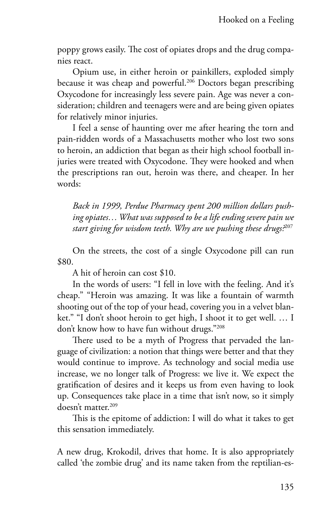poppy grows easily. The cost of opiates drops and the drug companies react.

Opium use, in either heroin or painkillers, exploded simply because it was cheap and powerful.<sup>206</sup> Doctors began prescribing Oxycodone for increasingly less severe pain. Age was never a consideration; children and teenagers were and are being given opiates for relatively minor injuries.

I feel a sense of haunting over me after hearing the torn and pain-ridden words of a Massachusetts mother who lost two sons to heroin, an addiction that began as their high school football injuries were treated with Oxycodone. They were hooked and when the prescriptions ran out, heroin was there, and cheaper. In her words:

*Back in 1999, Perdue Pharmacy spent 200 million dollars pushing opiates… What was supposed to be a life ending severe pain we start giving for wisdom teeth. Why are we pushing these drugs?*<sup>207</sup>

On the streets, the cost of a single Oxycodone pill can run \$80.

A hit of heroin can cost \$10.

In the words of users: "I fell in love with the feeling. And it's cheap." "Heroin was amazing. It was like a fountain of warmth shooting out of the top of your head, covering you in a velvet blanket." "I don't shoot heroin to get high, I shoot it to get well. … I don't know how to have fun without drugs."208

There used to be a myth of Progress that pervaded the language of civilization: a notion that things were better and that they would continue to improve. As technology and social media use increase, we no longer talk of Progress: we live it. We expect the gratification of desires and it keeps us from even having to look up. Consequences take place in a time that isn't now, so it simply doesn't matter.<sup>209</sup>

This is the epitome of addiction: I will do what it takes to get this sensation immediately.

A new drug, Krokodil, drives that home. It is also appropriately called 'the zombie drug' and its name taken from the reptilian-es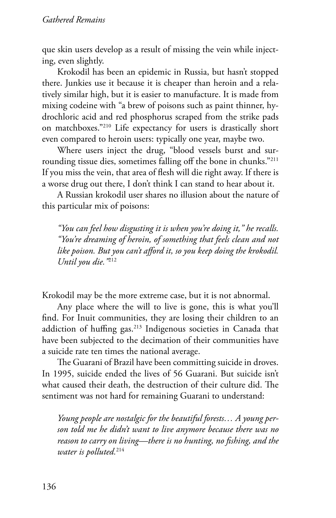que skin users develop as a result of missing the vein while injecting, even slightly.

Krokodil has been an epidemic in Russia, but hasn't stopped there. Junkies use it because it is cheaper than heroin and a relatively similar high, but it is easier to manufacture. It is made from mixing codeine with "a brew of poisons such as paint thinner, hydrochloric acid and red phosphorus scraped from the strike pads on matchboxes."210 Life expectancy for users is drastically short even compared to heroin users: typically one year, maybe two.

Where users inject the drug, "blood vessels burst and surrounding tissue dies, sometimes falling off the bone in chunks."211 If you miss the vein, that area of flesh will die right away. If there is a worse drug out there, I don't think I can stand to hear about it.

A Russian krokodil user shares no illusion about the nature of this particular mix of poisons:

*"You can feel how disgusting it is when you're doing it," he recalls. "You're dreaming of heroin, of something that feels clean and not like poison. But you can't afford it, so you keep doing the krokodil. Until you die."*<sup>212</sup>

Krokodil may be the more extreme case, but it is not abnormal.

Any place where the will to live is gone, this is what you'll find. For Inuit communities, they are losing their children to an addiction of huffing gas.<sup>213</sup> Indigenous societies in Canada that have been subjected to the decimation of their communities have a suicide rate ten times the national average.

The Guarani of Brazil have been committing suicide in droves. In 1995, suicide ended the lives of 56 Guarani. But suicide isn't what caused their death, the destruction of their culture did. The sentiment was not hard for remaining Guarani to understand:

*Young people are nostalgic for the beautiful forests… A young person told me he didn't want to live anymore because there was no reason to carry on living—there is no hunting, no fishing, and the water is polluted.*214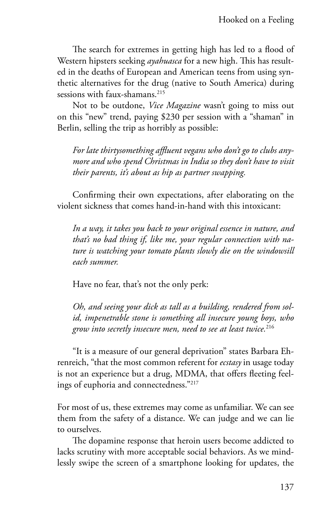The search for extremes in getting high has led to a flood of Western hipsters seeking *ayahuasca* for a new high. This has resulted in the deaths of European and American teens from using synthetic alternatives for the drug (native to South America) during sessions with faux-shamans.<sup>215</sup>

Not to be outdone, *Vice Magazine* wasn't going to miss out on this "new" trend, paying \$230 per session with a "shaman" in Berlin, selling the trip as horribly as possible:

*For late thirtysomething affluent vegans who don't go to clubs anymore and who spend Christmas in India so they don't have to visit their parents, it's about as hip as partner swapping.*

Confirming their own expectations, after elaborating on the violent sickness that comes hand-in-hand with this intoxicant:

*In a way, it takes you back to your original essence in nature, and that's no bad thing if, like me, your regular connection with nature is watching your tomato plants slowly die on the windowsill each summer.*

Have no fear, that's not the only perk:

*Oh, and seeing your dick as tall as a building, rendered from solid, impenetrable stone is something all insecure young boys, who grow into secretly insecure men, need to see at least twice.*<sup>216</sup>

"It is a measure of our general deprivation" states Barbara Ehrenreich, "that the most common referent for *ecstasy* in usage today is not an experience but a drug, MDMA, that offers fleeting feelings of euphoria and connectedness."217

For most of us, these extremes may come as unfamiliar. We can see them from the safety of a distance. We can judge and we can lie to ourselves.

The dopamine response that heroin users become addicted to lacks scrutiny with more acceptable social behaviors. As we mindlessly swipe the screen of a smartphone looking for updates, the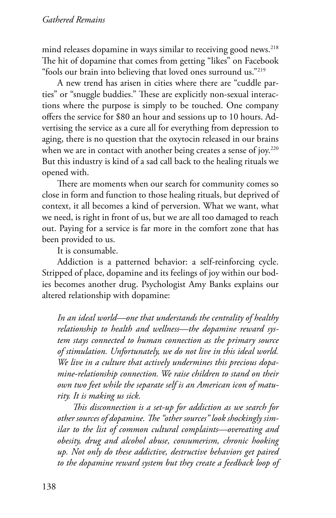mind releases dopamine in ways similar to receiving good news.<sup>218</sup> The hit of dopamine that comes from getting "likes" on Facebook "fools our brain into believing that loved ones surround us."219

A new trend has arisen in cities where there are "cuddle parties" or "snuggle buddies." These are explicitly non-sexual interactions where the purpose is simply to be touched. One company offers the service for \$80 an hour and sessions up to 10 hours. Advertising the service as a cure all for everything from depression to aging, there is no question that the oxytocin released in our brains when we are in contact with another being creates a sense of joy.<sup>220</sup> But this industry is kind of a sad call back to the healing rituals we opened with.

There are moments when our search for community comes so close in form and function to those healing rituals, but deprived of context, it all becomes a kind of perversion. What we want, what we need, is right in front of us, but we are all too damaged to reach out. Paying for a service is far more in the comfort zone that has been provided to us.

It is consumable.

Addiction is a patterned behavior: a self-reinforcing cycle. Stripped of place, dopamine and its feelings of joy within our bodies becomes another drug. Psychologist Amy Banks explains our altered relationship with dopamine:

*In an ideal world—one that understands the centrality of healthy relationship to health and wellness—the dopamine reward system stays connected to human connection as the primary source of stimulation. Unfortunately, we do not live in this ideal world. We live in a culture that actively undermines this precious dopamine-relationship connection. We raise children to stand on their own two feet while the separate self is an American icon of maturity. It is making us sick.*

*This disconnection is a set-up for addiction as we search for other sources of dopamine. The "other sources" look shockingly similar to the list of common cultural complaints—overeating and obesity, drug and alcohol abuse, consumerism, chronic hooking up. Not only do these addictive, destructive behaviors get paired to the dopamine reward system but they create a feedback loop of*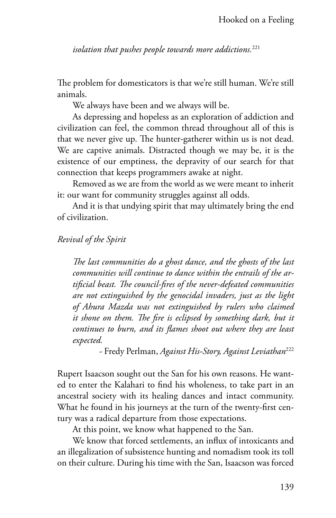*isolation that pushes people towards more addictions.*<sup>221</sup>

The problem for domesticators is that we're still human. We're still animals.

We always have been and we always will be.

As depressing and hopeless as an exploration of addiction and civilization can feel, the common thread throughout all of this is that we never give up. The hunter-gatherer within us is not dead. We are captive animals. Distracted though we may be, it is the existence of our emptiness, the depravity of our search for that connection that keeps programmers awake at night.

Removed as we are from the world as we were meant to inherit it: our want for community struggles against all odds.

And it is that undying spirit that may ultimately bring the end of civilization.

## *Revival of the Spirit*

*The last communities do a ghost dance, and the ghosts of the last communities will continue to dance within the entrails of the artificial beast. The council-fires of the never-defeated communities are not extinguished by the genocidal invaders, just as the light of Ahura Mazda was not extinguished by rulers who claimed*  it shone on them. The fire is eclipsed by something dark, but it *continues to burn, and its flames shoot out where they are least expected.*

- Fredy Perlman, *Against His-Story, Against Leviathan*<sup>222</sup>

Rupert Isaacson sought out the San for his own reasons. He wanted to enter the Kalahari to find his wholeness, to take part in an ancestral society with its healing dances and intact community. What he found in his journeys at the turn of the twenty-first century was a radical departure from those expectations.

At this point, we know what happened to the San.

We know that forced settlements, an influx of intoxicants and an illegalization of subsistence hunting and nomadism took its toll on their culture. During his time with the San, Isaacson was forced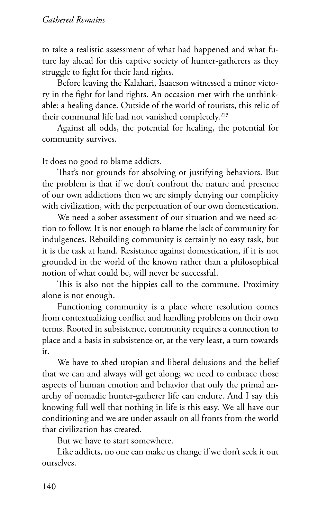to take a realistic assessment of what had happened and what future lay ahead for this captive society of hunter-gatherers as they struggle to fight for their land rights.

Before leaving the Kalahari, Isaacson witnessed a minor victory in the fight for land rights. An occasion met with the unthinkable: a healing dance. Outside of the world of tourists, this relic of their communal life had not vanished completely.<sup>223</sup>

Against all odds, the potential for healing, the potential for community survives.

It does no good to blame addicts.

That's not grounds for absolving or justifying behaviors. But the problem is that if we don't confront the nature and presence of our own addictions then we are simply denying our complicity with civilization, with the perpetuation of our own domestication.

We need a sober assessment of our situation and we need action to follow. It is not enough to blame the lack of community for indulgences. Rebuilding community is certainly no easy task, but it is the task at hand. Resistance against domestication, if it is not grounded in the world of the known rather than a philosophical notion of what could be, will never be successful.

This is also not the hippies call to the commune. Proximity alone is not enough.

Functioning community is a place where resolution comes from contextualizing conflict and handling problems on their own terms. Rooted in subsistence, community requires a connection to place and a basis in subsistence or, at the very least, a turn towards it.

We have to shed utopian and liberal delusions and the belief that we can and always will get along; we need to embrace those aspects of human emotion and behavior that only the primal anarchy of nomadic hunter-gatherer life can endure. And I say this knowing full well that nothing in life is this easy. We all have our conditioning and we are under assault on all fronts from the world that civilization has created.

But we have to start somewhere.

Like addicts, no one can make us change if we don't seek it out ourselves.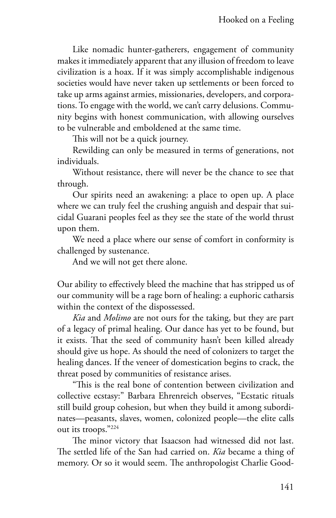Like nomadic hunter-gatherers, engagement of community makes it immediately apparent that any illusion of freedom to leave civilization is a hoax. If it was simply accomplishable indigenous societies would have never taken up settlements or been forced to take up arms against armies, missionaries, developers, and corporations. To engage with the world, we can't carry delusions. Community begins with honest communication, with allowing ourselves to be vulnerable and emboldened at the same time.

This will not be a quick journey.

Rewilding can only be measured in terms of generations, not individuals.

Without resistance, there will never be the chance to see that through.

Our spirits need an awakening: a place to open up. A place where we can truly feel the crushing anguish and despair that suicidal Guarani peoples feel as they see the state of the world thrust upon them.

We need a place where our sense of comfort in conformity is challenged by sustenance.

And we will not get there alone.

Our ability to effectively bleed the machine that has stripped us of our community will be a rage born of healing: a euphoric catharsis within the context of the dispossessed.

*Kia* and *Molimo* are not ours for the taking, but they are part of a legacy of primal healing. Our dance has yet to be found, but it exists. That the seed of community hasn't been killed already should give us hope. As should the need of colonizers to target the healing dances. If the veneer of domestication begins to crack, the threat posed by communities of resistance arises.

"This is the real bone of contention between civilization and collective ecstasy:" Barbara Ehrenreich observes, "Ecstatic rituals still build group cohesion, but when they build it among subordinates—peasants, slaves, women, colonized people—the elite calls out its troops."224

The minor victory that Isaacson had witnessed did not last. The settled life of the San had carried on. *Kia* became a thing of memory. Or so it would seem. The anthropologist Charlie Good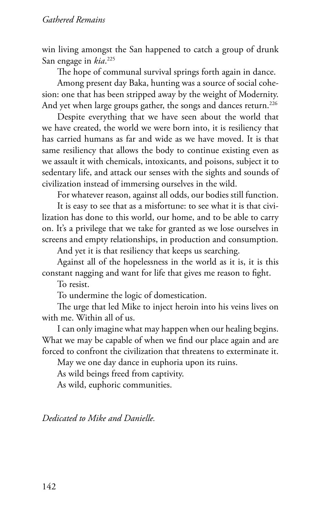win living amongst the San happened to catch a group of drunk San engage in *kia*. 225

The hope of communal survival springs forth again in dance.

Among present day Baka, hunting was a source of social cohesion: one that has been stripped away by the weight of Modernity. And yet when large groups gather, the songs and dances return.<sup>226</sup>

Despite everything that we have seen about the world that we have created, the world we were born into, it is resiliency that has carried humans as far and wide as we have moved. It is that same resiliency that allows the body to continue existing even as we assault it with chemicals, intoxicants, and poisons, subject it to sedentary life, and attack our senses with the sights and sounds of civilization instead of immersing ourselves in the wild.

For whatever reason, against all odds, our bodies still function.

It is easy to see that as a misfortune: to see what it is that civilization has done to this world, our home, and to be able to carry on. It's a privilege that we take for granted as we lose ourselves in screens and empty relationships, in production and consumption.

And yet it is that resiliency that keeps us searching.

Against all of the hopelessness in the world as it is, it is this constant nagging and want for life that gives me reason to fight.

To resist.

To undermine the logic of domestication.

The urge that led Mike to inject heroin into his veins lives on with me. Within all of us.

I can only imagine what may happen when our healing begins. What we may be capable of when we find our place again and are forced to confront the civilization that threatens to exterminate it.

May we one day dance in euphoria upon its ruins.

As wild beings freed from captivity.

As wild, euphoric communities.

*Dedicated to Mike and Danielle.*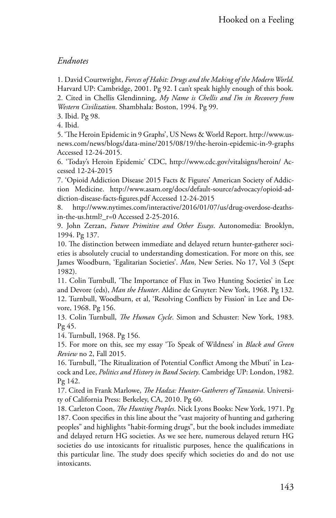## *Endnotes*

1. David Courtwright, *Forces of Habit: Drugs and the Making of the Modern World*. Harvard UP: Cambridge, 2001. Pg 92. I can't speak highly enough of this book. 2. Cited in Chellis Glendinning, *My Name is Chellis and I'm in Recovery from Western Civilization*. Shambhala: Boston, 1994. Pg 99.

3. Ibid. Pg 98.

4. Ibid.

5. 'The Heroin Epidemic in 9 Graphs', US News & World Report. http://www.usnews.com/news/blogs/data-mine/2015/08/19/the-heroin-epidemic-in-9-graphs Accessed 12-24-2015.

6. 'Today's Heroin Epidemic' CDC, http://www.cdc.gov/vitalsigns/heroin/ Accessed 12-24-2015

7. 'Opioid Addiction Disease 2015 Facts & Figures' American Society of Addiction Medicine. http://www.asam.org/docs/default-source/advocacy/opioid-addiction-disease-facts-figures.pdf Accessed 12-24-2015

8. http://www.nytimes.com/interactive/2016/01/07/us/drug-overdose-deathsin-the-us.html?\_r=0 Accessed 2-25-2016.

9. John Zerzan, *Future Primitive and Other Essays*. Autonomedia: Brooklyn, 1994. Pg 137.

10. The distinction between immediate and delayed return hunter-gatherer societies is absolutely crucial to understanding domestication. For more on this, see James Woodburn, 'Egalitarian Societies'. *Man*, New Series. No 17, Vol 3 (Sept 1982).

11. Colin Turnbull, 'The Importance of Flux in Two Hunting Societies' in Lee and Devore (eds), *Man the Hunter*. Aldine de Gruyter: New York, 1968. Pg 132. 12. Turnbull, Woodburn, et al, 'Resolving Conflicts by Fission' in Lee and Devore, 1968. Pg 156.

13. Colin Turnbull, *The Human Cycle*. Simon and Schuster: New York, 1983. Pg 45.

14. Turnbull, 1968. Pg 156.

15. For more on this, see my essay 'To Speak of Wildness' in *Black and Green Review* no 2, Fall 2015.

16. Turnbull, 'The Ritualization of Potential Conflict Among the Mbuti' in Leacock and Lee, *Politics and History in Band Society*. Cambridge UP: London, 1982. Pg 142.

17. Cited in Frank Marlowe, *The Hadza: Hunter-Gatherers of Tanzania*. University of California Press: Berkeley, CA, 2010. Pg 60.

18. Carleton Coon, *The Hunting Peoples*. Nick Lyons Books: New York, 1971. Pg 187. Coon specifies in this line about the "vast majority of hunting and gathering peoples" and highlights "habit-forming drugs", but the book includes immediate and delayed return HG societies. As we see here, numerous delayed return HG societies do use intoxicants for ritualistic purposes, hence the qualifications in this particular line. The study does specify which societies do and do not use intoxicants.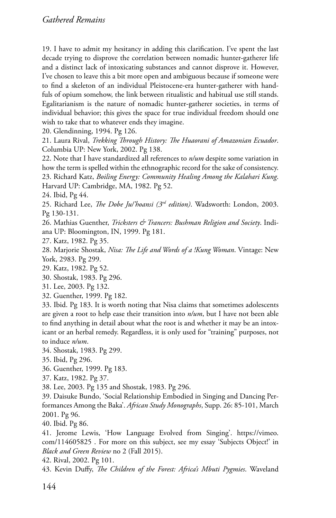19. I have to admit my hesitancy in adding this clarification. I've spent the last decade trying to disprove the correlation between nomadic hunter-gatherer life and a distinct lack of intoxicating substances and cannot disprove it. However, I've chosen to leave this a bit more open and ambiguous because if someone were to find a skeleton of an individual Pleistocene-era hunter-gatherer with handfuls of opium somehow, the link between ritualistic and habitual use still stands. Egalitarianism is the nature of nomadic hunter-gatherer societies, in terms of individual behavior; this gives the space for true individual freedom should one wish to take that to whatever ends they imagine.

20. Glendinning, 1994. Pg 126.

21. Laura Rival, *Trekking Through History: The Huaorani of Amazonian Ecuador*. Columbia UP: New York, 2002. Pg 138.

22. Note that I have standardized all references to *n/um* despite some variation in how the term is spelled within the ethnographic record for the sake of consistency. 23. Richard Katz, *Boiling Energy: Community Healing Among the Kalahari Kung*. Harvard UP: Cambridge, MA, 1982. Pg 52.

24. Ibid, Pg 44.

25. Richard Lee, *The Dobe Ju/'hoansi (3rd edition)*. Wadsworth: London, 2003. Pg 130-131.

26. Mathias Guenther, *Tricksters & Trancers: Bushman Religion and Society*. Indiana UP: Bloomington, IN, 1999. Pg 181.

27. Katz, 1982. Pg 35.

28. Marjorie Shostak, *Nisa: The Life and Words of a !Kung Woman*. Vintage: New York, 2983. Pg 299.

29. Katz, 1982. Pg 52.

30. Shostak, 1983. Pg 296.

31. Lee, 2003. Pg 132.

32. Guenther, 1999. Pg 182.

33. Ibid. Pg 183. It is worth noting that Nisa claims that sometimes adolescents are given a root to help ease their transition into *n/um*, but I have not been able to find anything in detail about what the root is and whether it may be an intoxicant or an herbal remedy. Regardless, it is only used for "training" purposes, not to induce *n/um*.

34. Shostak, 1983. Pg 299.

35. Ibid, Pg 296.

36. Guenther, 1999. Pg 183.

37. Katz, 1982. Pg 37.

38. Lee, 2003. Pg 135 and Shostak, 1983. Pg 296.

39. Daisuke Bundo, 'Social Relationship Embodied in Singing and Dancing Performances Among the Baka'. *African Study Monographs*, Supp. 26: 85-101, March 2001. Pg 96.

40. Ibid. Pg 86.

41. Jerome Lewis, 'How Language Evolved from Singing'. https://vimeo. com/114605825 . For more on this subject, see my essay 'Subjects Object!' in *Black and Green Review* no 2 (Fall 2015).

42. Rival, 2002. Pg 101.

43. Kevin Duffy, *The Children of the Forest: Africa's Mbuti Pygmies*. Waveland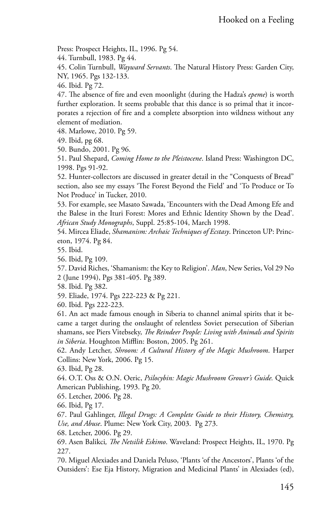Press: Prospect Heights, IL, 1996. Pg 54.

44. Turnbull, 1983. Pg 44.

45. Colin Turnbull, *Wayward Servants*. The Natural History Press: Garden City, NY, 1965. Pgs 132-133.

46. Ibid. Pg 72.

47. The absence of fire and even moonlight (during the Hadza's *epeme*) is worth further exploration. It seems probable that this dance is so primal that it incorporates a rejection of fire and a complete absorption into wildness without any element of mediation.

48. Marlowe, 2010. Pg 59.

49. Ibid, pg 68.

50. Bundo, 2001. Pg 96.

51. Paul Shepard, *Coming Home to the Pleistocene*. Island Press: Washington DC, 1998. Pgs 91-92.

52. Hunter-collectors are discussed in greater detail in the "Conquests of Bread" section, also see my essays 'The Forest Beyond the Field' and 'To Produce or To Not Produce' in Tucker, 2010.

53. For example, see Masato Sawada, 'Encounters with the Dead Among Efe and the Balese in the Ituri Forest: Mores and Ethnic Identity Shown by the Dead'. *African Study Monographs*, Suppl. 25:85-104, March 1998.

54. Mircea Eliade, *Shamanism: Archaic Techniques of Ecstasy*. Princeton UP: Princeton, 1974. Pg 84.

55. Ibid.

56. Ibid, Pg 109.

57. David Riches, 'Shamanism: the Key to Religion'. *Man*, New Series, Vol 29 No 2 (June 1994), Pgs 381-405. Pg 389.

58. Ibid. Pg 382.

59. Eliade, 1974. Pgs 222-223 & Pg 221.

60. Ibid. Pgs 222-223.

61. An act made famous enough in Siberia to channel animal spirits that it became a target during the onslaught of relentless Soviet persecution of Siberian shamans, see Piers Vitebseky, *The Reindeer People: Living with Animals and Spirits in Siberia*. Houghton Mifflin: Boston, 2005. Pg 261.

62. Andy Letcher, *Shroom: A Cultural History of the Magic Mushroom*. Harper Collins: New York, 2006. Pg 15.

63. Ibid, Pg 28.

64. O.T. Oss & O.N. Oeric, *Psilocybin: Magic Mushroom Grower's Guide.* Quick American Publishing, 1993. Pg 20.

65. Letcher, 2006. Pg 28.

66. Ibid, Pg 17.

67. Paul Gahlinger, *Illegal Drugs: A Complete Guide to their History, Chemistry, Use, and Abuse*. Plume: New York City, 2003. Pg 273.

68. Letcher, 2006. Pg 29.

69. Asen Balikci*, The Netsilik Eskimo*. Waveland: Prospect Heights, IL, 1970. Pg 227.

70. Miguel Alexiades and Daniela Peluso, 'Plants 'of the Ancestors', Plants 'of the Outsiders': Ese Eja History, Migration and Medicinal Plants' in Alexiades (ed),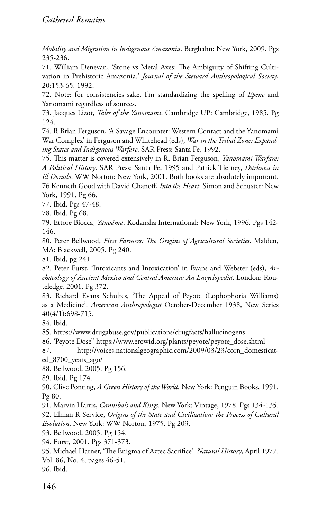*Mobility and Migration in Indigenous Amazonia*. Berghahn: New York, 2009. Pgs 235-236.

71. William Denevan, 'Stone vs Metal Axes: The Ambiguity of Shifting Cultivation in Prehistoric Amazonia.' *Journal of the Steward Anthropological Society*, 20:153-65. 1992.

72. Note: for consistencies sake, I'm standardizing the spelling of *Epene* and Yanomami regardless of sources.

73. Jacques Lizot, *Tales of the Yanomami*. Cambridge UP: Cambridge, 1985. Pg 124.

74. R Brian Ferguson, 'A Savage Encounter: Western Contact and the Yanomami War Complex' in Ferguson and Whitehead (eds), *War in the Tribal Zone: Expanding States and Indigenous Warfare*. SAR Press: Santa Fe, 1992.

75. This matter is covered extensively in R. Brian Ferguson, *Yanomami Warfare: A Political History*. SAR Press: Santa Fe, 1995 and Patrick Tierney, *Darkness in El Dorado*. WW Norton: New York, 2001. Both books are absolutely important. 76 Kenneth Good with David Chanoff, *Into the Heart*. Simon and Schuster: New York, 1991. Pg 66.

77. Ibid. Pgs 47-48.

78. Ibid. Pg 68.

79. Ettore Biocca, *Yanoáma*. Kodansha International: New York, 1996. Pgs 142- 146.

80. Peter Bellwood, *First Farmers: The Origins of Agricultural Societies*. Malden, MA: Blackwell, 2005. Pg 240.

81. Ibid, pg 241.

82. Peter Furst, 'Intoxicants and Intoxication' in Evans and Webster (eds), *Archaeology of Ancient Mexico and Central America: An Encyclopedia*. London: Routeledge, 2001. Pg 372.

83. Richard Evans Schultes, 'The Appeal of Peyote (Lophophoria Williams) as a Medicine'. *American Anthropologist* October-December 1938, New Series 40(4/1):698-715.

84. Ibid.

85. https://www.drugabuse.gov/publications/drugfacts/hallucinogens

86. 'Peyote Dose" https://www.erowid.org/plants/peyote/peyote\_dose.shtml

87. http://voices.nationalgeographic.com/2009/03/23/corn\_domesticated\_8700\_years\_ago/

88. Bellwood, 2005. Pg 156.

89. Ibid. Pg 174.

90. Clive Ponting, *A Green History of the World*. New York: Penguin Books, 1991. Pg 80.

91. Marvin Harris, *Cannibals and Kings*. New York: Vintage, 1978. Pgs 134-135.

92. Elman R Service, *Origins of the State and Civilization: the Process of Cultural Evolution*. New York: WW Norton, 1975. Pg 203.

93. Bellwood, 2005. Pg 154.

94. Furst, 2001. Pgs 371-373.

95. Michael Harner, 'The Enigma of Aztec Sacrifice'. *Natural History*, April 1977. Vol. 86, No. 4, pages 46-51.

96. Ibid.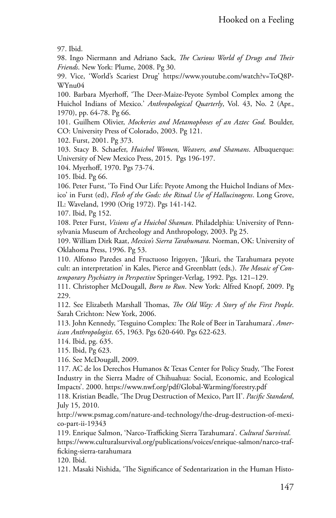97. Ibid.

98. Ingo Niermann and Adriano Sack, *The Curious World of Drugs and Their Friends*. New York: Plume, 2008. Pg 30.

99. Vice, 'World's Scariest Drug' https://www.youtube.com/watch?v=ToQ8P-WYnu04

100. Barbara Myerhoff, 'The Deer-Maize-Peyote Symbol Complex among the Huichol Indians of Mexico.' *Anthropological Quarterly*, Vol. 43, No. 2 (Apr., 1970), pp. 64-78. Pg 66.

101. Guilhem Olivier, *Mockeries and Metamophoses of an Aztec God*. Boulder, CO: University Press of Colorado, 2003. Pg 121.

102. Furst, 2001. Pg 373.

103. Stacy B. Schaefer, *Huichol Women, Weavers, and Shamans*. Albuquerque: University of New Mexico Press, 2015. Pgs 196-197.

104. Myerhoff, 1970. Pgs 73-74.

105. Ibid. Pg 66.

106. Peter Furst, 'To Find Our Life: Peyote Among the Huichol Indians of Mexico' in Furst (ed), *Flesh of the Gods: the Ritual Use of Hallucinogens*. Long Grove, IL: Waveland, 1990 (Orig 1972). Pgs 141-142.

107. Ibid, Pg 152.

108. Peter Furst, *Visions of a Huichol Shaman*. Philadelphia: University of Pennsylvania Museum of Archeology and Anthropology, 2003. Pg 25.

109. William Dirk Raat, *Mexico's Sierra Tarahumara*. Norman, OK: University of Oklahoma Press, 1996. Pg 53.

110. Alfonso Paredes and Fructuoso Irigoyen, 'Jíkuri, the Tarahumara peyote cult: an interpretation' in Kales, Pierce and Greenblatt (eds.). *The Mosaic of Contemporary Psychiatry in Perspective* Springer-Verlag, 1992. Pgs. 121–129.

111. Christopher McDougall, *Born to Run*. New York: Alfred Knopf, 2009. Pg 229.

112. See Elizabeth Marshall Thomas, *The Old Way: A Story of the First People*. Sarah Crichton: New York, 2006.

113. John Kennedy, 'Tesguino Complex: The Role of Beer in Tarahumara'. *American Anthropologist*. 65, 1963. Pgs 620-640. Pgs 622-623.

114. Ibid, pg. 635.

115. Ibid, Pg 623.

116. See McDougall, 2009.

117. AC de los Derechos Humanos & Texas Center for Policy Study, 'The Forest Industry in the Sierra Madre of Chihuahua: Social, Economic, and Ecological Impacts'. 2000. https://www.nwf.org/pdf/Global-Warming/forestry.pdf

118. Kristian Beadle, 'The Drug Destruction of Mexico, Part II'. *Pacific Standard*, July 15, 2010.

http://www.psmag.com/nature-and-technology/the-drug-destruction-of-mexico-part-ii-19343

119. Enrique Salmon, 'Narco-Trafficking Sierra Tarahumara'. *Cultural Survival*. https://www.culturalsurvival.org/publications/voices/enrique-salmon/narco-trafficking-sierra-tarahumara

120. Ibid.

121. Masaki Nishida, 'The Significance of Sedentarization in the Human Histo-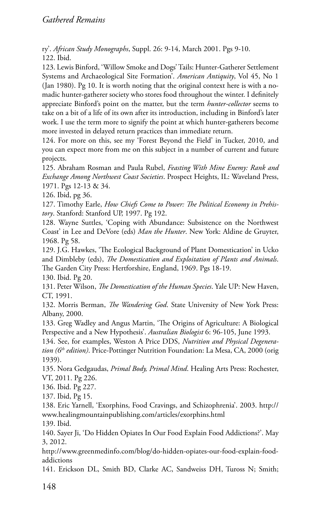ry'. *African Study Monographs*, Suppl. 26: 9-14, March 2001. Pgs 9-10. 122. Ibid.

123. Lewis Binford, 'Willow Smoke and Dogs' Tails: Hunter-Gatherer Settlement Systems and Archaeological Site Formation'. *American Antiquity*, Vol 45, No 1 (Jan 1980). Pg 10. It is worth noting that the original context here is with a nomadic hunter-gatherer society who stores food throughout the winter. I definitely appreciate Binford's point on the matter, but the term *hunter-collector* seems to take on a bit of a life of its own after its introduction, including in Binford's later work. I use the term more to signify the point at which hunter-gatherers become more invested in delayed return practices than immediate return.

124. For more on this, see my 'Forest Beyond the Field' in Tucker, 2010, and you can expect more from me on this subject in a number of current and future projects.

125. Abraham Rosman and Paula Rubel, *Feasting With Mine Enemy: Rank and Exchange Among Northwest Coast Societies*. Prospect Heights, IL: Waveland Press, 1971. Pgs 12-13 & 34.

126. Ibid, pg 36.

127. Timothy Earle, *How Chiefs Come to Power: The Political Economy in Prehistory*. Stanford: Stanford UP, 1997. Pg 192.

128. Wayne Suttles, 'Coping with Abundance: Subsistence on the Northwest Coast' in Lee and DeVore (eds) *Man the Hunter*. New York: Aldine de Gruyter, 1968. Pg 58.

129. J.G. Hawkes, 'The Ecological Background of Plant Domestication' in Ucko and Dimbleby (eds), *The Domestication and Exploitation of Plants and Animals*. The Garden City Press: Hertforshire, England, 1969. Pgs 18-19.

130. Ibid. Pg 20.

131. Peter Wilson, *The Domestication of the Human Species*. Yale UP: New Haven, CT, 1991.

132. Morris Berman, *The Wandering God*. State University of New York Press: Albany, 2000.

133. Greg Wadley and Angus Martin, 'The Origins of Agriculture: A Biological Perspective and a New Hypothesis'. *Australian Biologist* 6: 96-105, June 1993.

134. See, for examples, Weston A Price DDS, *Nutrition and Physical Degeneration (6th edition)*. Price-Pottinger Nutrition Foundation: La Mesa, CA, 2000 (orig 1939).

135. Nora Gedgaudas, *Primal Body, Primal Mind*. Healing Arts Press: Rochester, VT, 2011. Pg 226.

136. Ibid. Pg 227.

137. Ibid, Pg 15.

138. Eric Yarnell, 'Exorphins, Food Cravings, and Schizophrenia'. 2003. http:// www.healingmountainpublishing.com/articles/exorphins.html

139. Ibid.

140. Sayer Ji, 'Do Hidden Opiates In Our Food Explain Food Addictions?'. May 3, 2012.

http://www.greenmedinfo.com/blog/do-hidden-opiates-our-food-explain-foodaddictions

141. Erickson DL, Smith BD, Clarke AC, Sandweiss DH, Tuross N; Smith;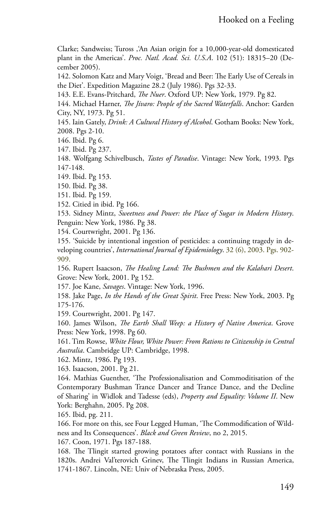Clarke; Sandweiss; Tuross ,'An Asian origin for a 10,000-year-old domesticated plant in the Americas'. *Proc. Natl. Acad. Sci. U.S.A*. 102 (51): 18315–20 (December 2005).

142. Solomon Katz and Mary Voigt, 'Bread and Beer: The Early Use of Cereals in the Diet'. Expedition Magazine 28.2 (July 1986). Pgs 32-33.

143. E.E. Evans-Pritchard, *The Nuer*. Oxford UP: New York, 1979. Pg 82.

144. Michael Harner, *The Jívaro: People of the Sacred Waterfalls*. Anchor: Garden City, NY, 1973. Pg 51.

145. Iain Gately, *Drink: A Cultural History of Alcohol*. Gotham Books: New York, 2008. Pgs 2-10.

146. Ibid. Pg 6.

147. Ibid. Pg 237.

148. Wolfgang Schivelbusch, *Tastes of Paradise*. Vintage: New York, 1993. Pgs 147-148.

149. Ibid. Pg 153.

150. Ibid. Pg 38.

151. Ibid. Pg 159.

152. Citied in ibid. Pg 166.

153. Sidney Mintz, *Sweetness and Power: the Place of Sugar in Modern History*. Penguin: New York, 1986. Pg 38.

154. Courtwright, 2001. Pg 136.

155. 'Suicide by intentional ingestion of pesticides: a continuing tragedy in developing countries', *International Journal of Epidemiology*. 32 (6), 2003. Pgs. 902- 909.

156. Rupert Isaacson, *The Healing Land: The Bushmen and the Kalahari Desert*. Grove: New York, 2001. Pg 152.

157. Joe Kane, *Savages*. Vintage: New York, 1996.

158. Jake Page, *In the Hands of the Great Spirit*. Free Press: New York, 2003. Pg 175-176.

159. Courtwright, 2001. Pg 147.

160. James Wilson, *The Earth Shall Weep: a History of Native America*. Grove Press: New York, 1998. Pg 60.

161. Tim Rowse, *White Flour, White Power: From Rations to Citizenship in Central Australia*. Cambridge UP: Cambridge, 1998.

162. Mintz, 1986. Pg 193.

163. Isaacson, 2001. Pg 21.

164. Mathias Guenther, 'The Professionalisation and Commoditisation of the Contemporary Bushman Trance Dancer and Trance Dance, and the Decline of Sharing' in Widlok and Tadesse (eds), *Property and Equality: Volume II*. New York: Berghahn, 2005. Pg 208.

165. Ibid, pg. 211.

166. For more on this, see Four Legged Human, 'The Commodification of Wildness and Its Consequences'. *Black and Green Review*, no 2, 2015.

167. Coon, 1971. Pgs 187-188.

168. The Tlingit started growing potatoes after contact with Russians in the 1820s. Andrei Val'terovich Grinev, The Tlingit Indians in Russian America, 1741-1867. Lincoln, NE: Univ of Nebraska Press, 2005.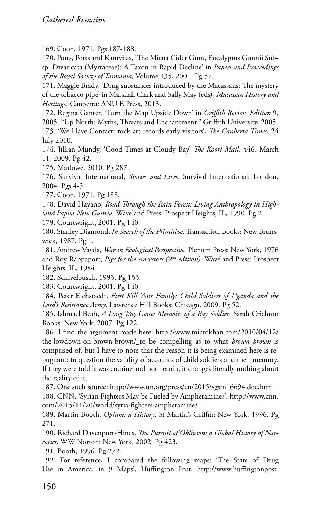169. Coon, 1971. Pgs 187-188.

170. Potts, Potts and Kantvilas, 'The Miena Cider Gum, Eucalyptus Gunnii Subsp. Divaricata (Myrtaceae): A Taxon in Rapid Decline' in *Papers and Proceedings of the Royal Society of Tasmania,* Volume 135, 2001. Pg 57.

171. Maggie Brady, 'Drug substances introduced by the Macassans: The mystery of the tobacco pipe' in Marshall Clark and Sally May (eds), *Macassan History and Heritage*. Canberra: ANU E Press, 2013.

172. Regina Ganter, 'Turn the Map Upside Down' in *Griffith Review Edition* 9, 2005. "Up North: Myths, Threats and Enchantment." Griffith University, 2005. 173. 'We Have Contact: rock art records early visitors', *The Canberra Times*, 24 July 2010.

174. Jillian Mundy, 'Good Times at Cloudy Bay' *The Koori Mail*, 446, March 11, 2009. Pg 42.

175. Marlowe, 2010. Pg 287.

176. Survival International, *Stories and Lives*. Survival International: London, 2004. Pgs 4-5.

177. Coon, 1971. Pg 188.

178. David Hayano, *Road Through the Rain Forest: Living Anthropology in High-*

*land Papua New Guinea*. Waveland Press: Prospect Heights, IL, 1990. Pg 2.

179. Courtwright, 2001. Pg 140.

180. Stanley Diamond, *In Search of the Primitive*. Transaction Books: New Brunswick, 1987. Pg 1.

181. Andrew Vayda, *War in Ecological Perspective*. Plenum Press: New York, 1976 and Roy Rappaport, *Pigs for the Ancestors (2nd edition)*. Waveland Press: Prospect Heights, IL, 1984.

182. Schivelbusch, 1993. Pg 153.

183. Courtwright, 2001. Pg 140.

184. Peter Eichstaedt, *First Kill Your Family: Child Soldiers of Uganda and the Lord's Resistance Army*. Lawrence Hill Books: Chicago, 2009. Pg 52.

185. Ishmael Beah, *A Long Way Gone: Memoirs of a Boy Soldier*. Sarah Crichton Books: New York, 2007. Pg 122.

186. I find the argument made here: http://www.microkhan.com/2010/04/12/ the-lowdown-on-brown-brown/ to be compelling as to what *brown brown* is comprised of, but I have to note that the reason it is being examined here is repugnant: to question the validity of accounts of child soldiers and their memory. If they were told it was cocaine and not heroin, it changes literally nothing about the reality of it.

187. One such source: http://www.un.org/press/en/2015/sgsm16694.doc.htm

188. CNN, 'Syrian Fighters May be Fueled by Amphetamines'. http://www.cnn. com/2015/11/20/world/syria-fighters-amphetamine/

189. Martin Booth, *Opium: a History*. St Martin's Griffin: New York, 1996. Pg 271.

190. Richard Davenport-Hines, *The Pursuit of Oblivion: a Global History of Narcotics*. WW Norton: New York, 2002. Pg 423.

191. Booth, 1996. Pg 272.

192. For reference, I compared the following maps: 'The State of Drug Use in America, in 9 Maps', Huffington Post, http://www.huffingtonpost.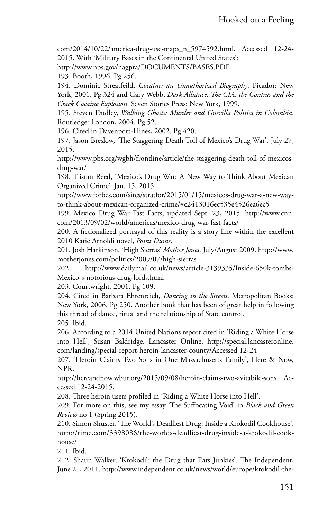com/2014/10/22/america-drug-use-maps\_n\_5974592.html. Accessed 12-24- 2015. With 'Military Bases in the Continental United States':

http://www.nps.gov/nagpra/DOCUMENTS/BASES.PDF

193. Booth, 1996. Pg 256.

194. Dominic Streatfeild, *Cocaine: an Unauthorized Biography*. Picador: New York, 2001. Pg 324 and Gary Webb, *Dark Alliance: The CIA, the Contras and the Crack Cocaine Explosion*. Seven Stories Press: New York, 1999.

195. Steven Dudley, *Walking Ghosts: Murder and Guerilla Politics in Colombia*. Routledge: London, 2004. Pg 52.

196. Cited in Davenport-Hines, 2002. Pg 420.

197. Jason Breslow, 'The Staggering Death Toll of Mexico's Drug War'. July 27, 2015.

http://www.pbs.org/wgbh/frontline/article/the-staggering-death-toll-of-mexicosdrug-war/

198. Tristan Reed, 'Mexico's Drug War: A New Way to Think About Mexican Organized Crime'. Jan. 15, 2015.

http://www.forbes.com/sites/stratfor/2015/01/15/mexicos-drug-war-a-new-wayto-think-about-mexican-organized-crime/#c2413016ec535e4526ea6ec5

199. Mexico Drug War Fast Facts, updated Sept. 23, 2015. http://www.cnn. com/2013/09/02/world/americas/mexico-drug-war-fast-facts/

200. A fictionalized portrayal of this reality is a story line within the excellent 2010 Katie Arnoldi novel, *Point Dume*.

201. Josh Harkinson, 'High Sierras' *Mother Jones*. July/August 2009. http://www. motherjones.com/politics/2009/07/high-sierras

202. http://www.dailymail.co.uk/news/article-3139335/Inside-650k-tombs-Mexico-s-notorious-drug-lords.html

203. Courtwright, 2001. Pg 109.

204. Cited in Barbara Ehrenreich, *Dancing in the Streets*. Metropolitan Books: New York, 2006. Pg 250. Another book that has been of great help in following this thread of dance, ritual and the relationship of State control. 205. Ibid.

206. According to a 2014 United Nations report cited in 'Riding a White Horse into Hell', Susan Baldridge. Lancaster Online. http://special.lancasteronline. com/landing/special-report-heroin-lancaster-county/Accessed 12-24

207. 'Heroin Claims Two Sons in One Massachusetts Family', Here & Now, NPR.

http://hereandnow.wbur.org/2015/09/08/heroin-claims-two-avitabile-sons Accessed 12-24-2015.

208. Three heroin users profiled in 'Riding a White Horse into Hell'.

209. For more on this, see my essay 'The Suffocating Void' in *Black and Green Review* no 1 (Spring 2015).

210. Simon Shuster, 'The World's Deadliest Drug: Inside a Krokodil Cookhouse'. http://time.com/3398086/the-worlds-deadliest-drug-inside-a-krokodil-cookhouse/

211. Ibid.

212. Shaun Walker, 'Krokodil: the Drug that Eats Junkies'. The Independent, June 21, 2011. http://www.independent.co.uk/news/world/europe/krokodil-the